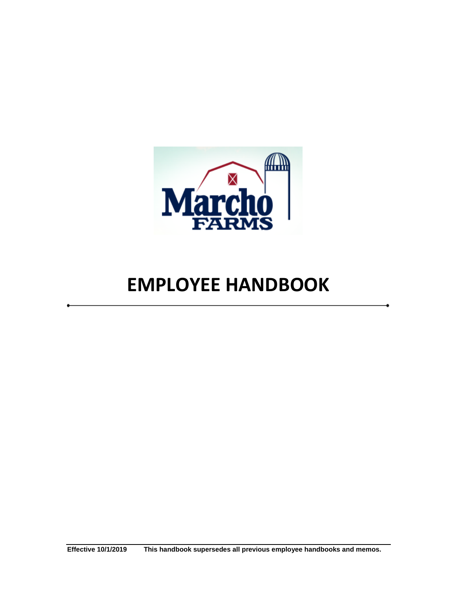

# **EMPLOYEE HANDBOOK**

**Effective 10/1/2019 This handbook supersedes all previous employee handbooks and memos.**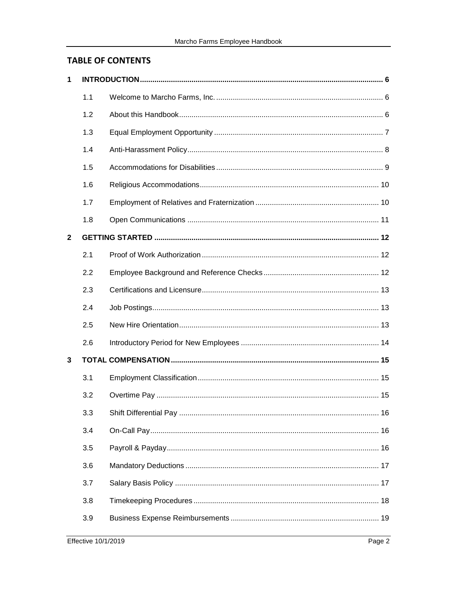# **TABLE OF CONTENTS**

| 1            |     |  |
|--------------|-----|--|
|              | 1.1 |  |
|              | 1.2 |  |
|              | 1.3 |  |
|              | 1.4 |  |
|              | 1.5 |  |
|              | 1.6 |  |
|              | 1.7 |  |
|              | 1.8 |  |
| $\mathbf{2}$ |     |  |
|              | 2.1 |  |
|              | 2.2 |  |
|              | 2.3 |  |
|              | 2.4 |  |
|              | 2.5 |  |
|              | 2.6 |  |
| 3            |     |  |
|              |     |  |
|              | 3.1 |  |
|              | 3.2 |  |
|              | 3.3 |  |
|              | 3.4 |  |
|              | 3.5 |  |
|              | 3.6 |  |
|              | 3.7 |  |
|              | 3.8 |  |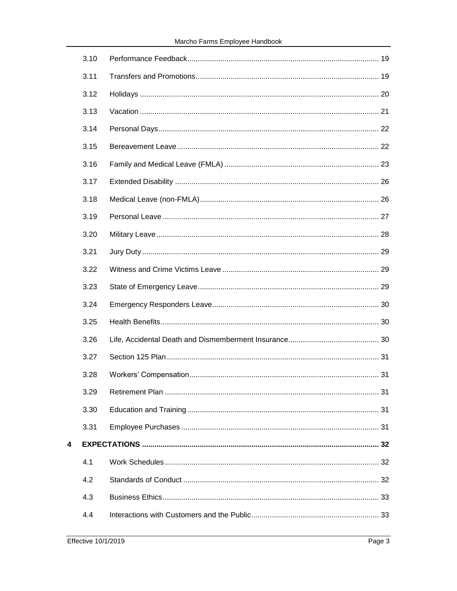| 3.10 |  |
|------|--|
| 3.11 |  |
| 3.12 |  |
| 3.13 |  |
| 3.14 |  |
| 3.15 |  |
| 3.16 |  |
| 3.17 |  |
| 3.18 |  |
| 3.19 |  |
| 3.20 |  |
| 3.21 |  |
| 3.22 |  |
| 3.23 |  |
| 3.24 |  |
| 3.25 |  |
| 3.26 |  |
| 3.27 |  |
| 3.28 |  |
| 3.29 |  |
| 3.30 |  |
| 3.31 |  |
|      |  |
| 4.1  |  |
| 4.2  |  |
| 4.3  |  |
| 4.4  |  |

 $\overline{\mathbf{4}}$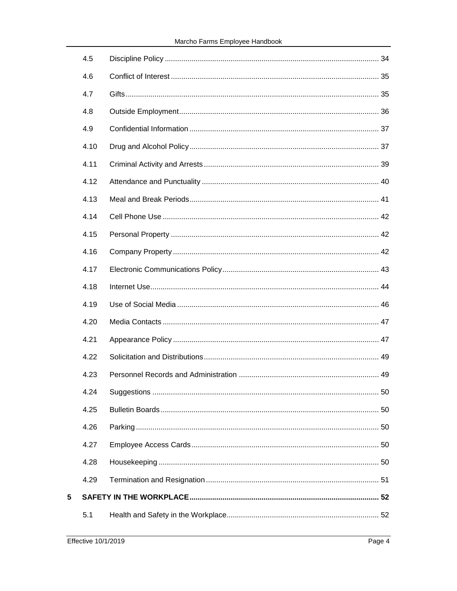| 4.5  |  |
|------|--|
| 4.6  |  |
| 4.7  |  |
| 4.8  |  |
| 4.9  |  |
| 4.10 |  |
| 4.11 |  |
| 4.12 |  |
| 4.13 |  |
| 4.14 |  |
| 4.15 |  |
| 4.16 |  |
| 4.17 |  |
| 4.18 |  |
| 4.19 |  |
| 4.20 |  |
| 4.21 |  |
| 4.22 |  |
| 4.23 |  |
| 4.24 |  |
| 4.25 |  |
| 4.26 |  |
| 4.27 |  |
| 4.28 |  |
| 4.29 |  |
|      |  |
| 5.1  |  |

 $\overline{\mathbf{5}}$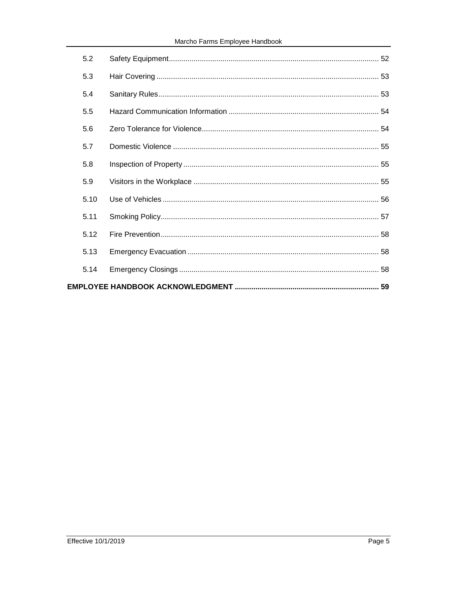# Marcho Farms Employee Handbook

|  | 5.2  |  |  |
|--|------|--|--|
|  | 5.3  |  |  |
|  | 5.4  |  |  |
|  | 5.5  |  |  |
|  | 5.6  |  |  |
|  | 5.7  |  |  |
|  | 5.8  |  |  |
|  | 5.9  |  |  |
|  | 5.10 |  |  |
|  | 5.11 |  |  |
|  | 5.12 |  |  |
|  | 5.13 |  |  |
|  | 5.14 |  |  |
|  |      |  |  |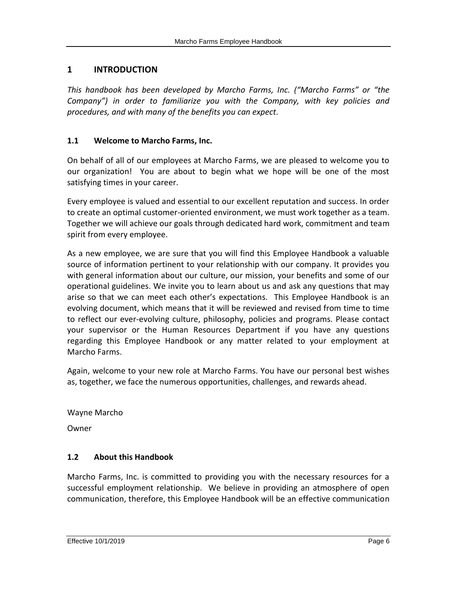# <span id="page-5-0"></span>**1 INTRODUCTION**

*This handbook has been developed by Marcho Farms, Inc. ("Marcho Farms" or "the Company") in order to familiarize you with the Company, with key policies and procedures, and with many of the benefits you can expect.*

## <span id="page-5-1"></span>**1.1 Welcome to Marcho Farms, Inc.**

On behalf of all of our employees at Marcho Farms, we are pleased to welcome you to our organization! You are about to begin what we hope will be one of the most satisfying times in your career.

Every employee is valued and essential to our excellent reputation and success. In order to create an optimal customer-oriented environment, we must work together as a team. Together we will achieve our goals through dedicated hard work, commitment and team spirit from every employee.

As a new employee, we are sure that you will find this Employee Handbook a valuable source of information pertinent to your relationship with our company. It provides you with general information about our culture, our mission, your benefits and some of our operational guidelines. We invite you to learn about us and ask any questions that may arise so that we can meet each other's expectations. This Employee Handbook is an evolving document, which means that it will be reviewed and revised from time to time to reflect our ever-evolving culture, philosophy, policies and programs. Please contact your supervisor or the Human Resources Department if you have any questions regarding this Employee Handbook or any matter related to your employment at Marcho Farms.

Again, welcome to your new role at Marcho Farms. You have our personal best wishes as, together, we face the numerous opportunities, challenges, and rewards ahead.

Wayne Marcho

<span id="page-5-2"></span>Owner

## **1.2 About this Handbook**

Marcho Farms, Inc. is committed to providing you with the necessary resources for a successful employment relationship. We believe in providing an atmosphere of open communication, therefore, this Employee Handbook will be an effective communication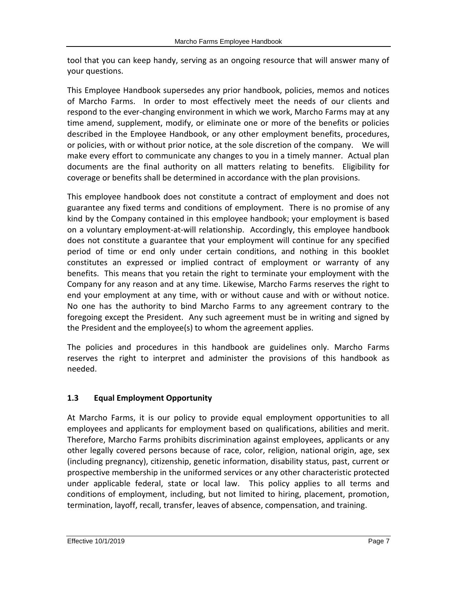tool that you can keep handy, serving as an ongoing resource that will answer many of your questions.

This Employee Handbook supersedes any prior handbook, policies, memos and notices of Marcho Farms. In order to most effectively meet the needs of our clients and respond to the ever-changing environment in which we work, Marcho Farms may at any time amend, supplement, modify, or eliminate one or more of the benefits or policies described in the Employee Handbook, or any other employment benefits, procedures, or policies, with or without prior notice, at the sole discretion of the company. We will make every effort to communicate any changes to you in a timely manner. Actual plan documents are the final authority on all matters relating to benefits. Eligibility for coverage or benefits shall be determined in accordance with the plan provisions.

This employee handbook does not constitute a contract of employment and does not guarantee any fixed terms and conditions of employment. There is no promise of any kind by the Company contained in this employee handbook; your employment is based on a voluntary employment-at-will relationship. Accordingly, this employee handbook does not constitute a guarantee that your employment will continue for any specified period of time or end only under certain conditions, and nothing in this booklet constitutes an expressed or implied contract of employment or warranty of any benefits. This means that you retain the right to terminate your employment with the Company for any reason and at any time. Likewise, Marcho Farms reserves the right to end your employment at any time, with or without cause and with or without notice. No one has the authority to bind Marcho Farms to any agreement contrary to the foregoing except the President. Any such agreement must be in writing and signed by the President and the employee(s) to whom the agreement applies.

The policies and procedures in this handbook are guidelines only. Marcho Farms reserves the right to interpret and administer the provisions of this handbook as needed.

# <span id="page-6-0"></span>**1.3 Equal Employment Opportunity**

At Marcho Farms, it is our policy to provide equal employment opportunities to all employees and applicants for employment based on qualifications, abilities and merit. Therefore, Marcho Farms prohibits discrimination against employees, applicants or any other legally covered persons because of race, color, religion, national origin, age, sex (including pregnancy), citizenship, genetic information, disability status, past, current or prospective membership in the uniformed services or any other characteristic protected under applicable federal, state or local law. This policy applies to all terms and conditions of employment, including, but not limited to hiring, placement, promotion, termination, layoff, recall, transfer, leaves of absence, compensation, and training.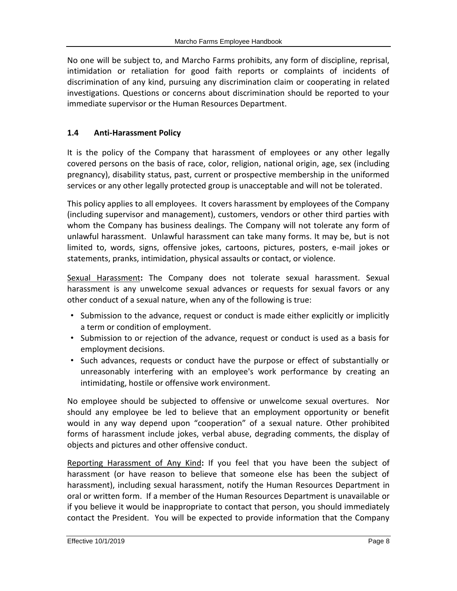No one will be subject to, and Marcho Farms prohibits, any form of discipline, reprisal, intimidation or retaliation for good faith reports or complaints of incidents of discrimination of any kind, pursuing any discrimination claim or cooperating in related investigations. Questions or concerns about discrimination should be reported to your immediate supervisor or the Human Resources Department.

# <span id="page-7-0"></span>**1.4 Anti-Harassment Policy**

It is the policy of the Company that harassment of employees or any other legally covered persons on the basis of race, color, religion, national origin, age, sex (including pregnancy), disability status, past, current or prospective membership in the uniformed services or any other legally protected group is unacceptable and will not be tolerated.

This policy applies to all employees. It covers harassment by employees of the Company (including supervisor and management), customers, vendors or other third parties with whom the Company has business dealings. The Company will not tolerate any form of unlawful harassment. Unlawful harassment can take many forms. It may be, but is not limited to, words, signs, offensive jokes, cartoons, pictures, posters, e-mail jokes or statements, pranks, intimidation, physical assaults or contact, or violence.

Sexual Harassment**:** The Company does not tolerate sexual harassment. Sexual harassment is any unwelcome sexual advances or requests for sexual favors or any other conduct of a sexual nature, when any of the following is true:

- Submission to the advance, request or conduct is made either explicitly or implicitly a term or condition of employment.
- Submission to or rejection of the advance, request or conduct is used as a basis for employment decisions.
- Such advances, requests or conduct have the purpose or effect of substantially or unreasonably interfering with an employee's work performance by creating an intimidating, hostile or offensive work environment.

No employee should be subjected to offensive or unwelcome sexual overtures. Nor should any employee be led to believe that an employment opportunity or benefit would in any way depend upon "cooperation" of a sexual nature. Other prohibited forms of harassment include jokes, verbal abuse, degrading comments, the display of objects and pictures and other offensive conduct.

Reporting Harassment of Any Kind**:** If you feel that you have been the subject of harassment (or have reason to believe that someone else has been the subject of harassment), including sexual harassment, notify the Human Resources Department in oral or written form. If a member of the Human Resources Department is unavailable or if you believe it would be inappropriate to contact that person, you should immediately contact the President. You will be expected to provide information that the Company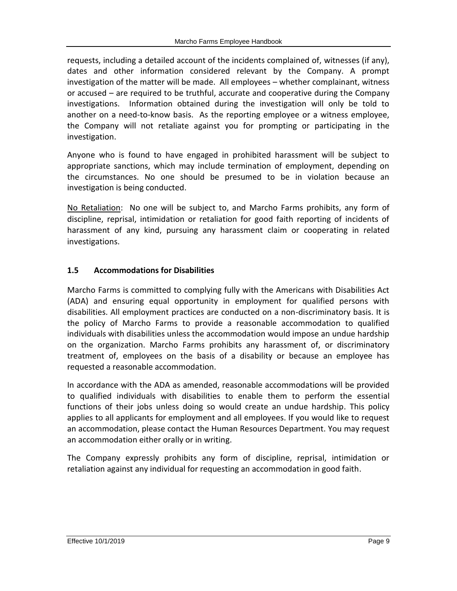requests, including a detailed account of the incidents complained of, witnesses (if any), dates and other information considered relevant by the Company. A prompt investigation of the matter will be made. All employees – whether complainant, witness or accused – are required to be truthful, accurate and cooperative during the Company investigations. Information obtained during the investigation will only be told to another on a need-to-know basis. As the reporting employee or a witness employee, the Company will not retaliate against you for prompting or participating in the investigation.

Anyone who is found to have engaged in prohibited harassment will be subject to appropriate sanctions, which may include termination of employment, depending on the circumstances. No one should be presumed to be in violation because an investigation is being conducted.

No Retaliation: No one will be subject to, and Marcho Farms prohibits, any form of discipline, reprisal, intimidation or retaliation for good faith reporting of incidents of harassment of any kind, pursuing any harassment claim or cooperating in related investigations.

# <span id="page-8-0"></span>**1.5 Accommodations for Disabilities**

Marcho Farms is committed to complying fully with the Americans with Disabilities Act (ADA) and ensuring equal opportunity in employment for qualified persons with disabilities. All employment practices are conducted on a non-discriminatory basis. It is the policy of Marcho Farms to provide a reasonable accommodation to qualified individuals with disabilities unless the accommodation would impose an undue hardship on the organization. Marcho Farms prohibits any harassment of, or discriminatory treatment of, employees on the basis of a disability or because an employee has requested a reasonable accommodation.

In accordance with the ADA as amended, reasonable accommodations will be provided to qualified individuals with disabilities to enable them to perform the essential functions of their jobs unless doing so would create an undue hardship. This policy applies to all applicants for employment and all employees. If you would like to request an accommodation, please contact the Human Resources Department. You may request an accommodation either orally or in writing.

The Company expressly prohibits any form of discipline, reprisal, intimidation or retaliation against any individual for requesting an accommodation in good faith.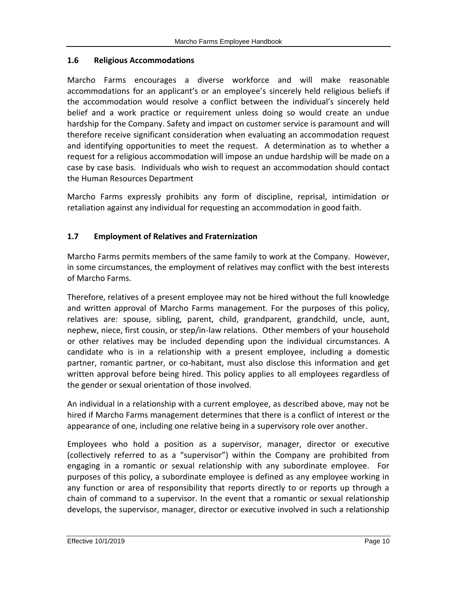#### <span id="page-9-0"></span>**1.6 Religious Accommodations**

Marcho Farms encourages a diverse workforce and will make reasonable accommodations for an applicant's or an employee's sincerely held religious beliefs if the accommodation would resolve a conflict between the individual's sincerely held belief and a work practice or requirement unless doing so would create an undue hardship for the Company. Safety and impact on customer service is paramount and will therefore receive significant consideration when evaluating an accommodation request and identifying opportunities to meet the request. A determination as to whether a request for a religious accommodation will impose an undue hardship will be made on a case by case basis. Individuals who wish to request an accommodation should contact the Human Resources Department

Marcho Farms expressly prohibits any form of discipline, reprisal, intimidation or retaliation against any individual for requesting an accommodation in good faith.

# <span id="page-9-1"></span>**1.7 Employment of Relatives and Fraternization**

Marcho Farms permits members of the same family to work at the Company. However, in some circumstances, the employment of relatives may conflict with the best interests of Marcho Farms.

Therefore, relatives of a present employee may not be hired without the full knowledge and written approval of Marcho Farms management. For the purposes of this policy, relatives are: spouse, sibling, parent, child, grandparent, grandchild, uncle, aunt, nephew, niece, first cousin, or step/in-law relations. Other members of your household or other relatives may be included depending upon the individual circumstances. A candidate who is in a relationship with a present employee, including a domestic partner, romantic partner, or co-habitant, must also disclose this information and get written approval before being hired. This policy applies to all employees regardless of the gender or sexual orientation of those involved.

An individual in a relationship with a current employee, as described above, may not be hired if Marcho Farms management determines that there is a conflict of interest or the appearance of one, including one relative being in a supervisory role over another.

Employees who hold a position as a supervisor, manager, director or executive (collectively referred to as a "supervisor") within the Company are prohibited from engaging in a romantic or sexual relationship with any subordinate employee. For purposes of this policy, a subordinate employee is defined as any employee working in any function or area of responsibility that reports directly to or reports up through a chain of command to a supervisor. In the event that a romantic or sexual relationship develops, the supervisor, manager, director or executive involved in such a relationship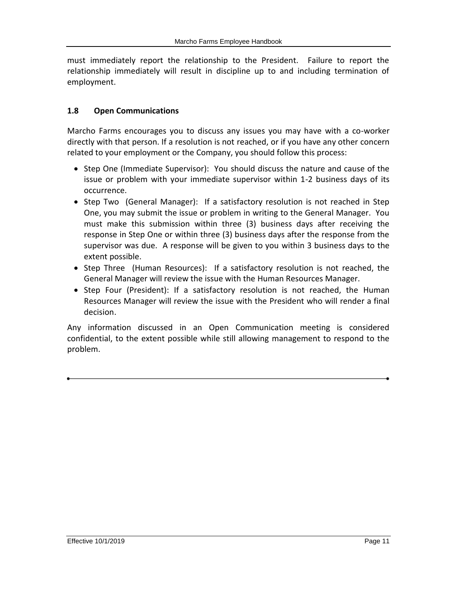must immediately report the relationship to the President. Failure to report the relationship immediately will result in discipline up to and including termination of employment.

## <span id="page-10-0"></span>**1.8 Open Communications**

Marcho Farms encourages you to discuss any issues you may have with a co-worker directly with that person. If a resolution is not reached, or if you have any other concern related to your employment or the Company, you should follow this process:

- Step One (Immediate Supervisor): You should discuss the nature and cause of the issue or problem with your immediate supervisor within 1-2 business days of its occurrence.
- Step Two (General Manager): If a satisfactory resolution is not reached in Step One, you may submit the issue or problem in writing to the General Manager. You must make this submission within three (3) business days after receiving the response in Step One or within three (3) business days after the response from the supervisor was due. A response will be given to you within 3 business days to the extent possible.
- Step Three (Human Resources): If a satisfactory resolution is not reached, the General Manager will review the issue with the Human Resources Manager.
- Step Four (President): If a satisfactory resolution is not reached, the Human Resources Manager will review the issue with the President who will render a final decision.

Any information discussed in an Open Communication meeting is considered confidential, to the extent possible while still allowing management to respond to the problem.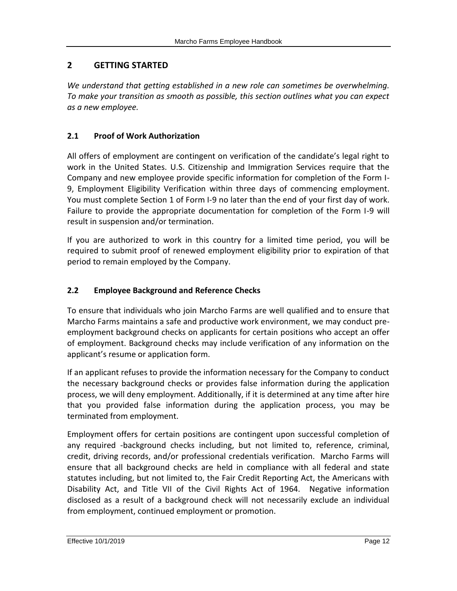# <span id="page-11-0"></span>**2 GETTING STARTED**

*We understand that getting established in a new role can sometimes be overwhelming. To make your transition as smooth as possible, this section outlines what you can expect as a new employee.*

# <span id="page-11-1"></span>**2.1 Proof of Work Authorization**

All offers of employment are contingent on verification of the candidate's legal right to work in the United States. U.S. Citizenship and Immigration Services require that the Company and new employee provide specific information for completion of the Form I-9, Employment Eligibility Verification within three days of commencing employment. You must complete Section 1 of Form I-9 no later than the end of your first day of work. Failure to provide the appropriate documentation for completion of the Form I-9 will result in suspension and/or termination.

If you are authorized to work in this country for a limited time period, you will be required to submit proof of renewed employment eligibility prior to expiration of that period to remain employed by the Company.

## <span id="page-11-2"></span>**2.2 Employee Background and Reference Checks**

To ensure that individuals who join Marcho Farms are well qualified and to ensure that Marcho Farms maintains a safe and productive work environment, we may conduct preemployment background checks on applicants for certain positions who accept an offer of employment. Background checks may include verification of any information on the applicant's resume or application form.

If an applicant refuses to provide the information necessary for the Company to conduct the necessary background checks or provides false information during the application process, we will deny employment. Additionally, if it is determined at any time after hire that you provided false information during the application process, you may be terminated from employment.

Employment offers for certain positions are contingent upon successful completion of any required -background checks including, but not limited to, reference, criminal, credit, driving records, and/or professional credentials verification. Marcho Farms will ensure that all background checks are held in compliance with all federal and state statutes including, but not limited to, the Fair Credit Reporting Act, the Americans with Disability Act, and Title VII of the Civil Rights Act of 1964. Negative information disclosed as a result of a background check will not necessarily exclude an individual from employment, continued employment or promotion.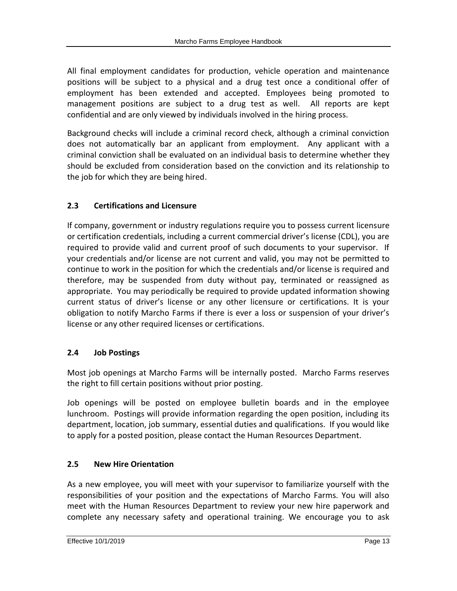All final employment candidates for production, vehicle operation and maintenance positions will be subject to a physical and a drug test once a conditional offer of employment has been extended and accepted. Employees being promoted to management positions are subject to a drug test as well. All reports are kept confidential and are only viewed by individuals involved in the hiring process.

Background checks will include a criminal record check, although a criminal conviction does not automatically bar an applicant from employment. Any applicant with a criminal conviction shall be evaluated on an individual basis to determine whether they should be excluded from consideration based on the conviction and its relationship to the job for which they are being hired.

# <span id="page-12-0"></span>**2.3 Certifications and Licensure**

If company, government or industry regulations require you to possess current licensure or certification credentials, including a current commercial driver's license (CDL), you are required to provide valid and current proof of such documents to your supervisor. If your credentials and/or license are not current and valid, you may not be permitted to continue to work in the position for which the credentials and/or license is required and therefore, may be suspended from duty without pay, terminated or reassigned as appropriate. You may periodically be required to provide updated information showing current status of driver's license or any other licensure or certifications. It is your obligation to notify Marcho Farms if there is ever a loss or suspension of your driver's license or any other required licenses or certifications.

# <span id="page-12-1"></span>**2.4 Job Postings**

Most job openings at Marcho Farms will be internally posted. Marcho Farms reserves the right to fill certain positions without prior posting.

Job openings will be posted on employee bulletin boards and in the employee lunchroom. Postings will provide information regarding the open position, including its department, location, job summary, essential duties and qualifications. If you would like to apply for a posted position, please contact the Human Resources Department.

## <span id="page-12-2"></span>**2.5 New Hire Orientation**

As a new employee, you will meet with your supervisor to familiarize yourself with the responsibilities of your position and the expectations of Marcho Farms. You will also meet with the Human Resources Department to review your new hire paperwork and complete any necessary safety and operational training. We encourage you to ask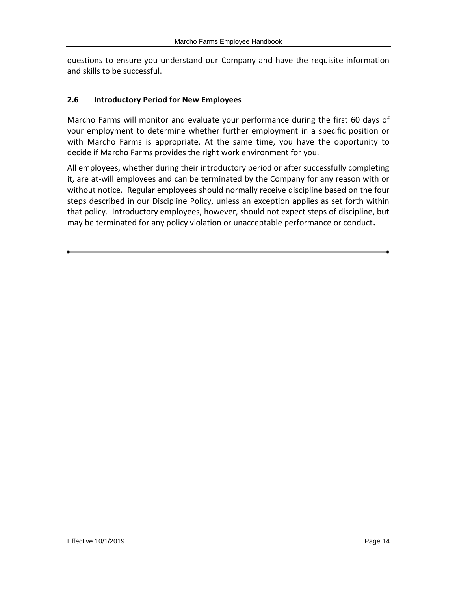questions to ensure you understand our Company and have the requisite information and skills to be successful.

#### <span id="page-13-0"></span>**2.6 Introductory Period for New Employees**

Marcho Farms will monitor and evaluate your performance during the first 60 days of your employment to determine whether further employment in a specific position or with Marcho Farms is appropriate. At the same time, you have the opportunity to decide if Marcho Farms provides the right work environment for you.

All employees, whether during their introductory period or after successfully completing it, are at-will employees and can be terminated by the Company for any reason with or without notice. Regular employees should normally receive discipline based on the four steps described in our Discipline Policy, unless an exception applies as set forth within that policy. Introductory employees, however, should not expect steps of discipline, but may be terminated for any policy violation or unacceptable performance or conduct**.**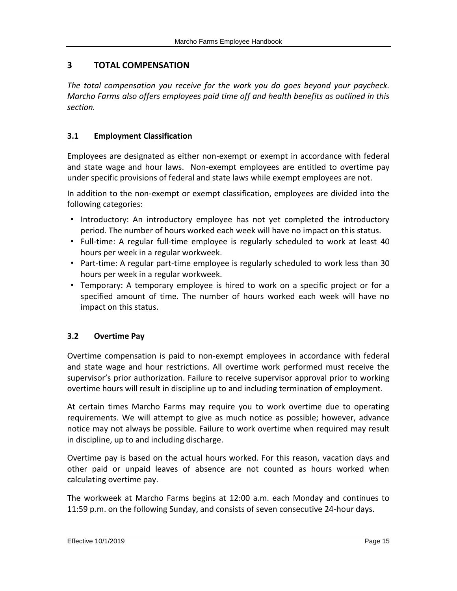# <span id="page-14-0"></span>**3 TOTAL COMPENSATION**

*The total compensation you receive for the work you do goes beyond your paycheck. Marcho Farms also offers employees paid time off and health benefits as outlined in this section.*

## <span id="page-14-1"></span>**3.1 Employment Classification**

Employees are designated as either non-exempt or exempt in accordance with federal and state wage and hour laws. Non-exempt employees are entitled to overtime pay under specific provisions of federal and state laws while exempt employees are not.

In addition to the non-exempt or exempt classification, employees are divided into the following categories:

- Introductory: An introductory employee has not yet completed the introductory period. The number of hours worked each week will have no impact on this status.
- Full-time: A regular full-time employee is regularly scheduled to work at least 40 hours per week in a regular workweek.
- Part-time: A regular part-time employee is regularly scheduled to work less than 30 hours per week in a regular workweek.
- Temporary: A temporary employee is hired to work on a specific project or for a specified amount of time. The number of hours worked each week will have no impact on this status.

## <span id="page-14-2"></span>**3.2 Overtime Pay**

Overtime compensation is paid to non-exempt employees in accordance with federal and state wage and hour restrictions. All overtime work performed must receive the supervisor's prior authorization. Failure to receive supervisor approval prior to working overtime hours will result in discipline up to and including termination of employment.

At certain times Marcho Farms may require you to work overtime due to operating requirements. We will attempt to give as much notice as possible; however, advance notice may not always be possible. Failure to work overtime when required may result in discipline, up to and including discharge.

Overtime pay is based on the actual hours worked. For this reason, vacation days and other paid or unpaid leaves of absence are not counted as hours worked when calculating overtime pay.

The workweek at Marcho Farms begins at 12:00 a.m. each Monday and continues to 11:59 p.m. on the following Sunday, and consists of seven consecutive 24-hour days.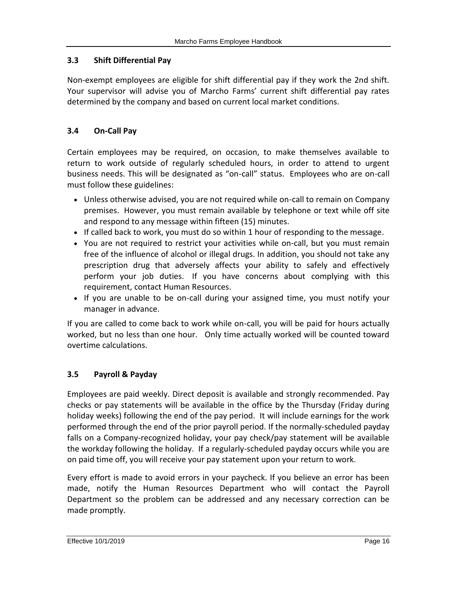## <span id="page-15-0"></span>**3.3 Shift Differential Pay**

Non-exempt employees are eligible for shift differential pay if they work the 2nd shift. Your supervisor will advise you of Marcho Farms' current shift differential pay rates determined by the company and based on current local market conditions.

# <span id="page-15-1"></span>**3.4 On-Call Pay**

Certain employees may be required, on occasion, to make themselves available to return to work outside of regularly scheduled hours, in order to attend to urgent business needs. This will be designated as "on-call" status. Employees who are on-call must follow these guidelines:

- Unless otherwise advised, you are not required while on-call to remain on Company premises. However, you must remain available by telephone or text while off site and respond to any message within fifteen (15) minutes.
- If called back to work, you must do so within 1 hour of responding to the message.
- You are not required to restrict your activities while on-call, but you must remain free of the influence of alcohol or illegal drugs. In addition, you should not take any prescription drug that adversely affects your ability to safely and effectively perform your job duties. If you have concerns about complying with this requirement, contact Human Resources.
- If you are unable to be on-call during your assigned time, you must notify your manager in advance.

If you are called to come back to work while on-call, you will be paid for hours actually worked, but no less than one hour. Only time actually worked will be counted toward overtime calculations.

## <span id="page-15-2"></span>**3.5 Payroll & Payday**

Employees are paid weekly. Direct deposit is available and strongly recommended. Pay checks or pay statements will be available in the office by the Thursday (Friday during holiday weeks) following the end of the pay period. It will include earnings for the work performed through the end of the prior payroll period. If the normally-scheduled payday falls on a Company-recognized holiday, your pay check/pay statement will be available the workday following the holiday. If a regularly-scheduled payday occurs while you are on paid time off, you will receive your pay statement upon your return to work.

Every effort is made to avoid errors in your paycheck. If you believe an error has been made, notify the Human Resources Department who will contact the Payroll Department so the problem can be addressed and any necessary correction can be made promptly.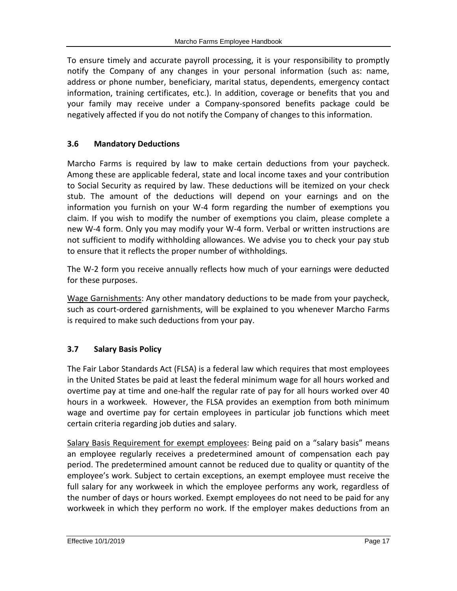To ensure timely and accurate payroll processing, it is your responsibility to promptly notify the Company of any changes in your personal information (such as: name, address or phone number, beneficiary, marital status, dependents, emergency contact information, training certificates, etc.). In addition, coverage or benefits that you and your family may receive under a Company-sponsored benefits package could be negatively affected if you do not notify the Company of changes to this information.

# <span id="page-16-0"></span>**3.6 Mandatory Deductions**

Marcho Farms is required by law to make certain deductions from your paycheck. Among these are applicable federal, state and local income taxes and your contribution to Social Security as required by law. These deductions will be itemized on your check stub. The amount of the deductions will depend on your earnings and on the information you furnish on your W-4 form regarding the number of exemptions you claim. If you wish to modify the number of exemptions you claim, please complete a new W-4 form. Only you may modify your W-4 form. Verbal or written instructions are not sufficient to modify withholding allowances. We advise you to check your pay stub to ensure that it reflects the proper number of withholdings.

The W-2 form you receive annually reflects how much of your earnings were deducted for these purposes.

Wage Garnishments: Any other mandatory deductions to be made from your paycheck, such as court-ordered garnishments, will be explained to you whenever Marcho Farms is required to make such deductions from your pay.

## <span id="page-16-1"></span>**3.7 Salary Basis Policy**

The Fair Labor Standards Act (FLSA) is a federal law which requires that most employees in the United States be paid at least the federal minimum wage for all hours worked and overtime pay at time and one-half the regular rate of pay for all hours worked over 40 hours in a workweek. However, the FLSA provides an exemption from both minimum wage and overtime pay for certain employees in particular job functions which meet certain criteria regarding job duties and salary.

Salary Basis Requirement for exempt employees: Being paid on a "salary basis" means an employee regularly receives a predetermined amount of compensation each pay period. The predetermined amount cannot be reduced due to quality or quantity of the employee's work. Subject to certain exceptions, an exempt employee must receive the full salary for any workweek in which the employee performs any work, regardless of the number of days or hours worked. Exempt employees do not need to be paid for any workweek in which they perform no work. If the employer makes deductions from an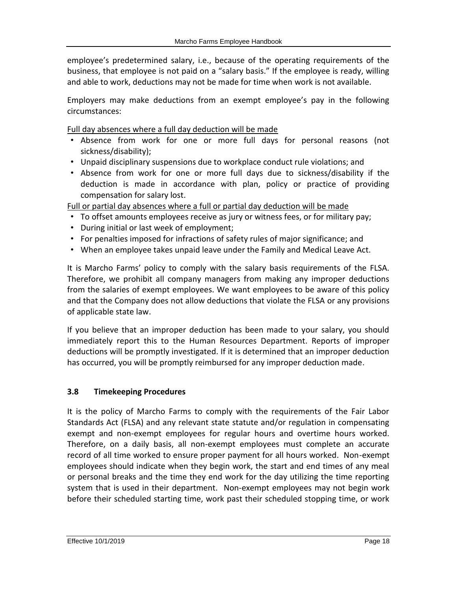employee's predetermined salary, i.e., because of the operating requirements of the business, that employee is not paid on a "salary basis." If the employee is ready, willing and able to work, deductions may not be made for time when work is not available.

Employers may make deductions from an exempt employee's pay in the following circumstances:

Full day absences where a full day deduction will be made

- Absence from work for one or more full days for personal reasons (not sickness/disability);
- Unpaid disciplinary suspensions due to workplace conduct rule violations; and
- Absence from work for one or more full days due to sickness/disability if the deduction is made in accordance with plan, policy or practice of providing compensation for salary lost.

Full or partial day absences where a full or partial day deduction will be made

- To offset amounts employees receive as jury or witness fees, or for military pay;
- During initial or last week of employment;
- For penalties imposed for infractions of safety rules of major significance; and
- When an employee takes unpaid leave under the Family and Medical Leave Act.

It is Marcho Farms' policy to comply with the salary basis requirements of the FLSA. Therefore, we prohibit all company managers from making any improper deductions from the salaries of exempt employees. We want employees to be aware of this policy and that the Company does not allow deductions that violate the FLSA or any provisions of applicable state law.

If you believe that an improper deduction has been made to your salary, you should immediately report this to the Human Resources Department. Reports of improper deductions will be promptly investigated. If it is determined that an improper deduction has occurred, you will be promptly reimbursed for any improper deduction made.

## <span id="page-17-0"></span>**3.8 Timekeeping Procedures**

It is the policy of Marcho Farms to comply with the requirements of the Fair Labor Standards Act (FLSA) and any relevant state statute and/or regulation in compensating exempt and non-exempt employees for regular hours and overtime hours worked. Therefore, on a daily basis, all non-exempt employees must complete an accurate record of all time worked to ensure proper payment for all hours worked. Non-exempt employees should indicate when they begin work, the start and end times of any meal or personal breaks and the time they end work for the day utilizing the time reporting system that is used in their department. Non-exempt employees may not begin work before their scheduled starting time, work past their scheduled stopping time, or work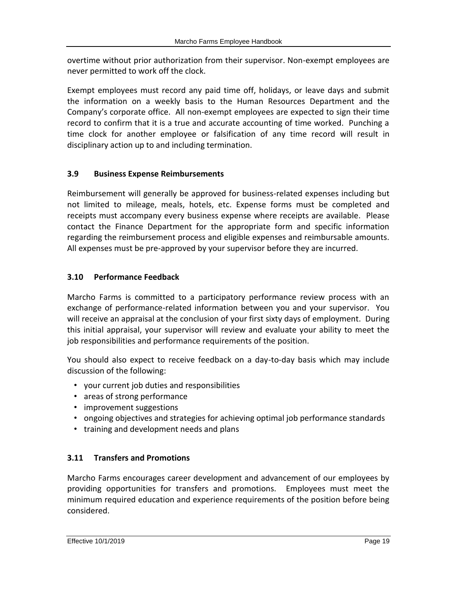overtime without prior authorization from their supervisor. Non-exempt employees are never permitted to work off the clock.

Exempt employees must record any paid time off, holidays, or leave days and submit the information on a weekly basis to the Human Resources Department and the Company's corporate office. All non-exempt employees are expected to sign their time record to confirm that it is a true and accurate accounting of time worked. Punching a time clock for another employee or falsification of any time record will result in disciplinary action up to and including termination.

# <span id="page-18-0"></span>**3.9 Business Expense Reimbursements**

Reimbursement will generally be approved for business-related expenses including but not limited to mileage, meals, hotels, etc. Expense forms must be completed and receipts must accompany every business expense where receipts are available. Please contact the Finance Department for the appropriate form and specific information regarding the reimbursement process and eligible expenses and reimbursable amounts. All expenses must be pre-approved by your supervisor before they are incurred.

# <span id="page-18-1"></span>**3.10 Performance Feedback**

Marcho Farms is committed to a participatory performance review process with an exchange of performance-related information between you and your supervisor. You will receive an appraisal at the conclusion of your first sixty days of employment. During this initial appraisal, your supervisor will review and evaluate your ability to meet the job responsibilities and performance requirements of the position.

You should also expect to receive feedback on a day-to-day basis which may include discussion of the following:

- your current job duties and responsibilities
- areas of strong performance
- improvement suggestions
- ongoing objectives and strategies for achieving optimal job performance standards
- <span id="page-18-2"></span>• training and development needs and plans

## **3.11 Transfers and Promotions**

Marcho Farms encourages career development and advancement of our employees by providing opportunities for transfers and promotions. Employees must meet the minimum required education and experience requirements of the position before being considered.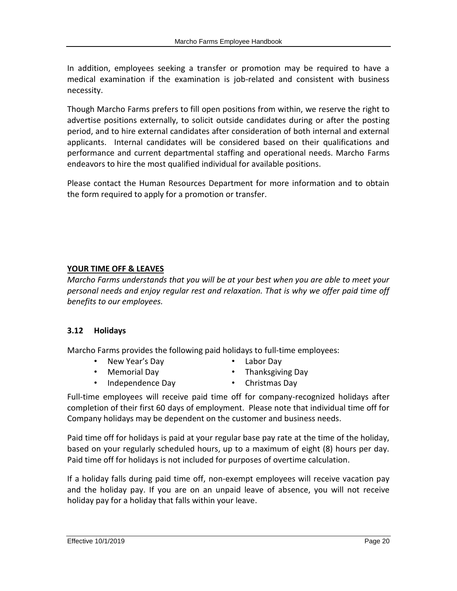In addition, employees seeking a transfer or promotion may be required to have a medical examination if the examination is job-related and consistent with business necessity.

Though Marcho Farms prefers to fill open positions from within, we reserve the right to advertise positions externally, to solicit outside candidates during or after the posting period, and to hire external candidates after consideration of both internal and external applicants. Internal candidates will be considered based on their qualifications and performance and current departmental staffing and operational needs. Marcho Farms endeavors to hire the most qualified individual for available positions.

Please contact the Human Resources Department for more information and to obtain the form required to apply for a promotion or transfer.

# **YOUR TIME OFF & LEAVES**

*Marcho Farms understands that you will be at your best when you are able to meet your personal needs and enjoy regular rest and relaxation. That is why we offer paid time off benefits to our employees.*

## <span id="page-19-0"></span>**3.12 Holidays**

Marcho Farms provides the following paid holidays to full-time employees:

- New Year's Day
- Labor Day

• Memorial Day

- Thanksgiving Day
- Independence Day
- Christmas Day

Full-time employees will receive paid time off for company-recognized holidays after completion of their first 60 days of employment. Please note that individual time off for Company holidays may be dependent on the customer and business needs.

Paid time off for holidays is paid at your regular base pay rate at the time of the holiday, based on your regularly scheduled hours, up to a maximum of eight (8) hours per day. Paid time off for holidays is not included for purposes of overtime calculation.

If a holiday falls during paid time off, non-exempt employees will receive vacation pay and the holiday pay. If you are on an unpaid leave of absence, you will not receive holiday pay for a holiday that falls within your leave.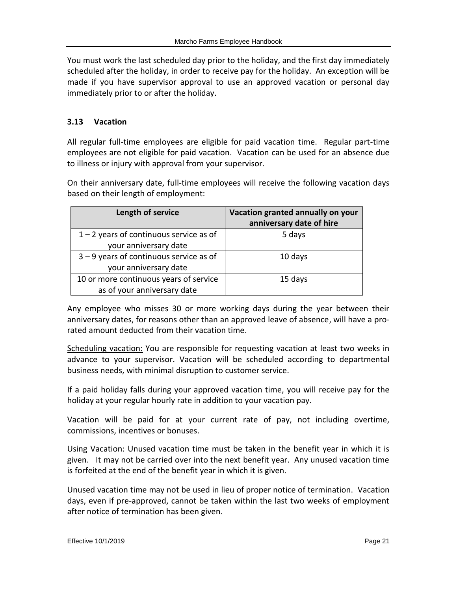You must work the last scheduled day prior to the holiday, and the first day immediately scheduled after the holiday, in order to receive pay for the holiday. An exception will be made if you have supervisor approval to use an approved vacation or personal day immediately prior to or after the holiday.

## <span id="page-20-0"></span>**3.13 Vacation**

All regular full-time employees are eligible for paid vacation time. Regular part-time employees are not eligible for paid vacation. Vacation can be used for an absence due to illness or injury with approval from your supervisor.

On their anniversary date, full-time employees will receive the following vacation days based on their length of employment:

| Length of service                         | Vacation granted annually on your<br>anniversary date of hire |
|-------------------------------------------|---------------------------------------------------------------|
| $1 - 2$ years of continuous service as of | 5 days                                                        |
| your anniversary date                     |                                                               |
| $3 - 9$ years of continuous service as of | 10 days                                                       |
| your anniversary date                     |                                                               |
| 10 or more continuous years of service    | 15 days                                                       |
| as of your anniversary date               |                                                               |

Any employee who misses 30 or more working days during the year between their anniversary dates, for reasons other than an approved leave of absence, will have a prorated amount deducted from their vacation time.

Scheduling vacation: You are responsible for requesting vacation at least two weeks in advance to your supervisor. Vacation will be scheduled according to departmental business needs, with minimal disruption to customer service.

If a paid holiday falls during your approved vacation time, you will receive pay for the holiday at your regular hourly rate in addition to your vacation pay.

Vacation will be paid for at your current rate of pay, not including overtime, commissions, incentives or bonuses.

Using Vacation: Unused vacation time must be taken in the benefit year in which it is given. It may not be carried over into the next benefit year. Any unused vacation time is forfeited at the end of the benefit year in which it is given.

Unused vacation time may not be used in lieu of proper notice of termination. Vacation days, even if pre-approved, cannot be taken within the last two weeks of employment after notice of termination has been given.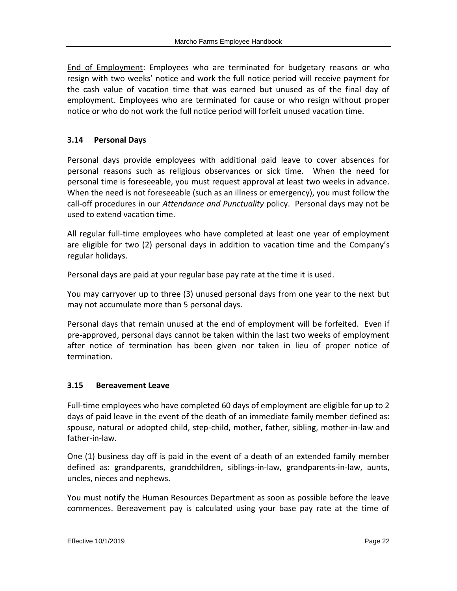End of Employment: Employees who are terminated for budgetary reasons or who resign with two weeks' notice and work the full notice period will receive payment for the cash value of vacation time that was earned but unused as of the final day of employment. Employees who are terminated for cause or who resign without proper notice or who do not work the full notice period will forfeit unused vacation time.

# <span id="page-21-0"></span>**3.14 Personal Days**

Personal days provide employees with additional paid leave to cover absences for personal reasons such as religious observances or sick time. When the need for personal time is foreseeable, you must request approval at least two weeks in advance. When the need is not foreseeable (such as an illness or emergency), you must follow the call-off procedures in our *Attendance and Punctuality* policy. Personal days may not be used to extend vacation time.

All regular full-time employees who have completed at least one year of employment are eligible for two (2) personal days in addition to vacation time and the Company's regular holidays.

Personal days are paid at your regular base pay rate at the time it is used.

You may carryover up to three (3) unused personal days from one year to the next but may not accumulate more than 5 personal days.

Personal days that remain unused at the end of employment will be forfeited. Even if pre-approved, personal days cannot be taken within the last two weeks of employment after notice of termination has been given nor taken in lieu of proper notice of termination.

## <span id="page-21-1"></span>**3.15 Bereavement Leave**

Full-time employees who have completed 60 days of employment are eligible for up to 2 days of paid leave in the event of the death of an immediate family member defined as: spouse, natural or adopted child, step-child, mother, father, sibling, mother-in-law and father-in-law.

One (1) business day off is paid in the event of a death of an extended family member defined as: grandparents, grandchildren, siblings-in-law, grandparents-in-law, aunts, uncles, nieces and nephews.

You must notify the Human Resources Department as soon as possible before the leave commences. Bereavement pay is calculated using your base pay rate at the time of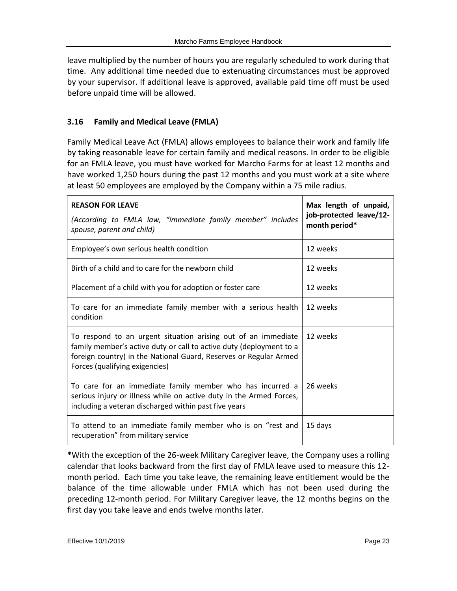leave multiplied by the number of hours you are regularly scheduled to work during that time. Any additional time needed due to extenuating circumstances must be approved by your supervisor. If additional leave is approved, available paid time off must be used before unpaid time will be allowed.

## <span id="page-22-0"></span>**3.16 Family and Medical Leave (FMLA)**

Family Medical Leave Act (FMLA) allows employees to balance their work and family life by taking reasonable leave for certain family and medical reasons. In order to be eligible for an FMLA leave, you must have worked for Marcho Farms for at least 12 months and have worked 1,250 hours during the past 12 months and you must work at a site where at least 50 employees are employed by the Company within a 75 mile radius.

| <b>REASON FOR LEAVE</b><br>(According to FMLA law, "immediate family member" includes<br>spouse, parent and child)                                                                                                                          | Max length of unpaid,<br>job-protected leave/12-<br>month period* |
|---------------------------------------------------------------------------------------------------------------------------------------------------------------------------------------------------------------------------------------------|-------------------------------------------------------------------|
| Employee's own serious health condition                                                                                                                                                                                                     | 12 weeks                                                          |
| Birth of a child and to care for the newborn child                                                                                                                                                                                          | 12 weeks                                                          |
| Placement of a child with you for adoption or foster care                                                                                                                                                                                   | 12 weeks                                                          |
| To care for an immediate family member with a serious health<br>condition                                                                                                                                                                   | 12 weeks                                                          |
| To respond to an urgent situation arising out of an immediate<br>family member's active duty or call to active duty (deployment to a<br>foreign country) in the National Guard, Reserves or Regular Armed<br>Forces (qualifying exigencies) | 12 weeks                                                          |
| To care for an immediate family member who has incurred a<br>serious injury or illness while on active duty in the Armed Forces,<br>including a veteran discharged within past five years                                                   | 26 weeks                                                          |
| To attend to an immediate family member who is on "rest and<br>recuperation" from military service                                                                                                                                          | 15 days                                                           |

**\***With the exception of the 26-week Military Caregiver leave, the Company uses a rolling calendar that looks backward from the first day of FMLA leave used to measure this 12 month period. Each time you take leave, the remaining leave entitlement would be the balance of the time allowable under FMLA which has not been used during the preceding 12-month period. For Military Caregiver leave, the 12 months begins on the first day you take leave and ends twelve months later.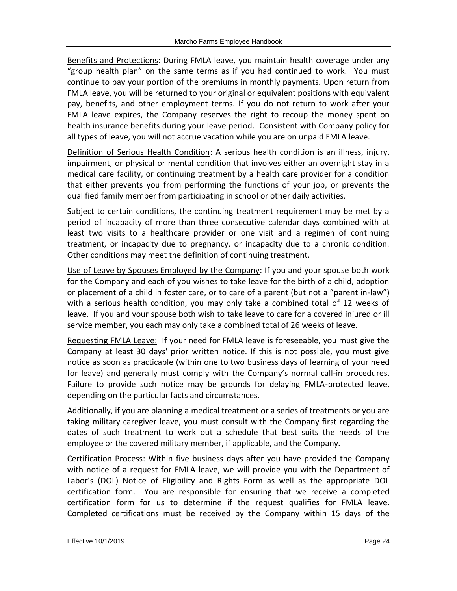Benefits and Protections: During FMLA leave, you maintain health coverage under any "group health plan" on the same terms as if you had continued to work. You must continue to pay your portion of the premiums in monthly payments. Upon return from FMLA leave, you will be returned to your original or equivalent positions with equivalent pay, benefits, and other employment terms. If you do not return to work after your FMLA leave expires, the Company reserves the right to recoup the money spent on health insurance benefits during your leave period. Consistent with Company policy for all types of leave, you will not accrue vacation while you are on unpaid FMLA leave.

Definition of Serious Health Condition: A serious health condition is an illness, injury, impairment, or physical or mental condition that involves either an overnight stay in a medical care facility, or continuing treatment by a health care provider for a condition that either prevents you from performing the functions of your job, or prevents the qualified family member from participating in school or other daily activities.

Subject to certain conditions, the continuing treatment requirement may be met by a period of incapacity of more than three consecutive calendar days combined with at least two visits to a healthcare provider or one visit and a regimen of continuing treatment, or incapacity due to pregnancy, or incapacity due to a chronic condition. Other conditions may meet the definition of continuing treatment.

Use of Leave by Spouses Employed by the Company: If you and your spouse both work for the Company and each of you wishes to take leave for the birth of a child, adoption or placement of a child in foster care, or to care of a parent (but not a "parent in-law") with a serious health condition, you may only take a combined total of 12 weeks of leave. If you and your spouse both wish to take leave to care for a covered injured or ill service member, you each may only take a combined total of 26 weeks of leave.

Requesting FMLA Leave: If your need for FMLA leave is foreseeable, you must give the Company at least 30 days' prior written notice. If this is not possible, you must give notice as soon as practicable (within one to two business days of learning of your need for leave) and generally must comply with the Company's normal call-in procedures. Failure to provide such notice may be grounds for delaying FMLA-protected leave, depending on the particular facts and circumstances.

Additionally, if you are planning a medical treatment or a series of treatments or you are taking military caregiver leave, you must consult with the Company first regarding the dates of such treatment to work out a schedule that best suits the needs of the employee or the covered military member, if applicable, and the Company.

Certification Process: Within five business days after you have provided the Company with notice of a request for FMLA leave, we will provide you with the Department of Labor's (DOL) Notice of Eligibility and Rights Form as well as the appropriate DOL certification form. You are responsible for ensuring that we receive a completed certification form for us to determine if the request qualifies for FMLA leave. Completed certifications must be received by the Company within 15 days of the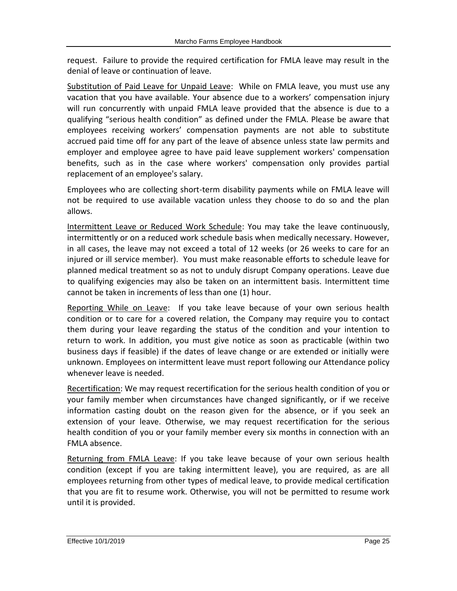request. Failure to provide the required certification for FMLA leave may result in the denial of leave or continuation of leave.

Substitution of Paid Leave for Unpaid Leave: While on FMLA leave, you must use any vacation that you have available. Your absence due to a workers' compensation injury will run concurrently with unpaid FMLA leave provided that the absence is due to a qualifying "serious health condition" as defined under the FMLA. Please be aware that employees receiving workers' compensation payments are not able to substitute accrued paid time off for any part of the leave of absence unless state law permits and employer and employee agree to have paid leave supplement workers' compensation benefits, such as in the case where workers' compensation only provides partial replacement of an employee's salary.

Employees who are collecting short-term disability payments while on FMLA leave will not be required to use available vacation unless they choose to do so and the plan allows.

Intermittent Leave or Reduced Work Schedule: You may take the leave continuously, intermittently or on a reduced work schedule basis when medically necessary. However, in all cases, the leave may not exceed a total of 12 weeks (or 26 weeks to care for an injured or ill service member). You must make reasonable efforts to schedule leave for planned medical treatment so as not to unduly disrupt Company operations. Leave due to qualifying exigencies may also be taken on an intermittent basis. Intermittent time cannot be taken in increments of less than one (1) hour.

Reporting While on Leave: If you take leave because of your own serious health condition or to care for a covered relation, the Company may require you to contact them during your leave regarding the status of the condition and your intention to return to work. In addition, you must give notice as soon as practicable (within two business days if feasible) if the dates of leave change or are extended or initially were unknown. Employees on intermittent leave must report following our Attendance policy whenever leave is needed.

Recertification: We may request recertification for the serious health condition of you or your family member when circumstances have changed significantly, or if we receive information casting doubt on the reason given for the absence, or if you seek an extension of your leave. Otherwise, we may request recertification for the serious health condition of you or your family member every six months in connection with an FMLA absence.

Returning from FMLA Leave: If you take leave because of your own serious health condition (except if you are taking intermittent leave), you are required, as are all employees returning from other types of medical leave, to provide medical certification that you are fit to resume work. Otherwise, you will not be permitted to resume work until it is provided.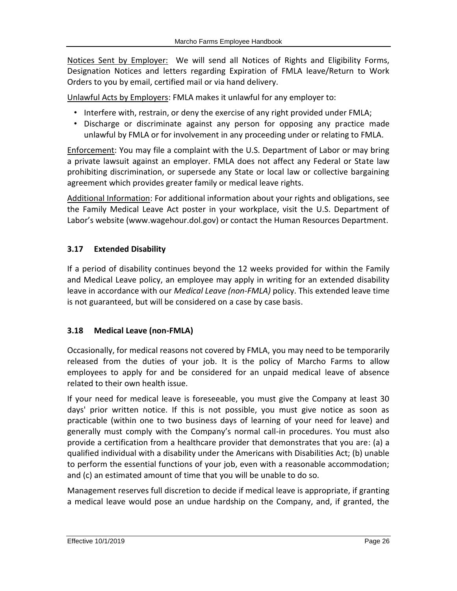Notices Sent by Employer: We will send all Notices of Rights and Eligibility Forms, Designation Notices and letters regarding Expiration of FMLA leave/Return to Work Orders to you by email, certified mail or via hand delivery.

Unlawful Acts by Employers: FMLA makes it unlawful for any employer to:

- Interfere with, restrain, or deny the exercise of any right provided under FMLA;
- Discharge or discriminate against any person for opposing any practice made unlawful by FMLA or for involvement in any proceeding under or relating to FMLA.

Enforcement: You may file a complaint with the U.S. Department of Labor or may bring a private lawsuit against an employer. FMLA does not affect any Federal or State law prohibiting discrimination, or supersede any State or local law or collective bargaining agreement which provides greater family or medical leave rights.

Additional Information: For additional information about your rights and obligations, see the Family Medical Leave Act poster in your workplace, visit the U.S. Department of Labor's website (www.wagehour.dol.gov) or contact the Human Resources Department.

# <span id="page-25-0"></span>**3.17 Extended Disability**

If a period of disability continues beyond the 12 weeks provided for within the Family and Medical Leave policy, an employee may apply in writing for an extended disability leave in accordance with our *Medical Leave (non-FMLA)* policy. This extended leave time is not guaranteed, but will be considered on a case by case basis.

## <span id="page-25-1"></span>**3.18 Medical Leave (non-FMLA)**

Occasionally, for medical reasons not covered by FMLA, you may need to be temporarily released from the duties of your job. It is the policy of Marcho Farms to allow employees to apply for and be considered for an unpaid medical leave of absence related to their own health issue.

If your need for medical leave is foreseeable, you must give the Company at least 30 days' prior written notice. If this is not possible, you must give notice as soon as practicable (within one to two business days of learning of your need for leave) and generally must comply with the Company's normal call-in procedures. You must also provide a certification from a healthcare provider that demonstrates that you are: (a) a qualified individual with a disability under the Americans with Disabilities Act; (b) unable to perform the essential functions of your job, even with a reasonable accommodation; and (c) an estimated amount of time that you will be unable to do so.

Management reserves full discretion to decide if medical leave is appropriate, if granting a medical leave would pose an undue hardship on the Company, and, if granted, the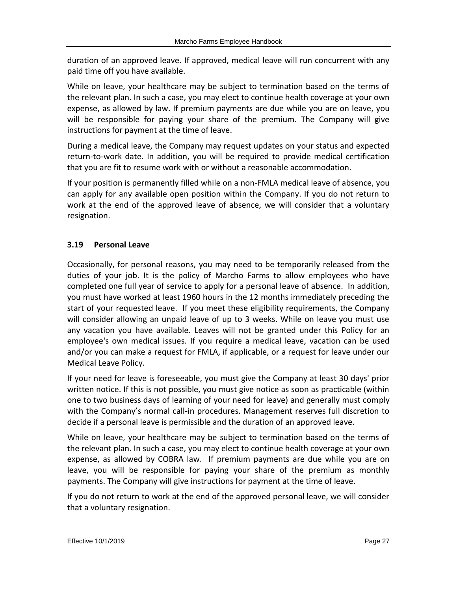duration of an approved leave. If approved, medical leave will run concurrent with any paid time off you have available.

While on leave, your healthcare may be subject to termination based on the terms of the relevant plan. In such a case, you may elect to continue health coverage at your own expense, as allowed by law. If premium payments are due while you are on leave, you will be responsible for paying your share of the premium. The Company will give instructions for payment at the time of leave.

During a medical leave, the Company may request updates on your status and expected return-to-work date. In addition, you will be required to provide medical certification that you are fit to resume work with or without a reasonable accommodation.

If your position is permanently filled while on a non-FMLA medical leave of absence, you can apply for any available open position within the Company. If you do not return to work at the end of the approved leave of absence, we will consider that a voluntary resignation.

# <span id="page-26-0"></span>**3.19 Personal Leave**

Occasionally, for personal reasons, you may need to be temporarily released from the duties of your job. It is the policy of Marcho Farms to allow employees who have completed one full year of service to apply for a personal leave of absence. In addition, you must have worked at least 1960 hours in the 12 months immediately preceding the start of your requested leave. If you meet these eligibility requirements, the Company will consider allowing an unpaid leave of up to 3 weeks. While on leave you must use any vacation you have available. Leaves will not be granted under this Policy for an employee's own medical issues. If you require a medical leave, vacation can be used and/or you can make a request for FMLA, if applicable, or a request for leave under our Medical Leave Policy.

If your need for leave is foreseeable, you must give the Company at least 30 days' prior written notice. If this is not possible, you must give notice as soon as practicable (within one to two business days of learning of your need for leave) and generally must comply with the Company's normal call-in procedures. Management reserves full discretion to decide if a personal leave is permissible and the duration of an approved leave.

While on leave, your healthcare may be subject to termination based on the terms of the relevant plan. In such a case, you may elect to continue health coverage at your own expense, as allowed by COBRA law. If premium payments are due while you are on leave, you will be responsible for paying your share of the premium as monthly payments. The Company will give instructions for payment at the time of leave.

If you do not return to work at the end of the approved personal leave, we will consider that a voluntary resignation.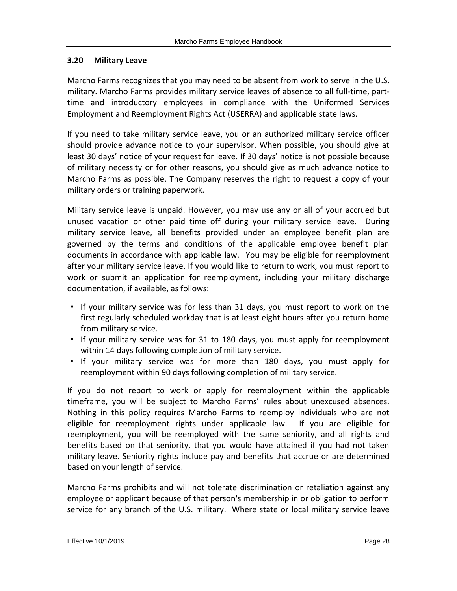#### <span id="page-27-0"></span>**3.20 Military Leave**

Marcho Farms recognizes that you may need to be absent from work to serve in the U.S. military. Marcho Farms provides military service leaves of absence to all full-time, parttime and introductory employees in compliance with the Uniformed Services Employment and Reemployment Rights Act (USERRA) and applicable state laws.

If you need to take military service leave, you or an authorized military service officer should provide advance notice to your supervisor. When possible, you should give at least 30 days' notice of your request for leave. If 30 days' notice is not possible because of military necessity or for other reasons, you should give as much advance notice to Marcho Farms as possible. The Company reserves the right to request a copy of your military orders or training paperwork.

Military service leave is unpaid. However, you may use any or all of your accrued but unused vacation or other paid time off during your military service leave. During military service leave, all benefits provided under an employee benefit plan are governed by the terms and conditions of the applicable employee benefit plan documents in accordance with applicable law. You may be eligible for reemployment after your military service leave. If you would like to return to work, you must report to work or submit an application for reemployment, including your military discharge documentation, if available, as follows:

- If your military service was for less than 31 days, you must report to work on the first regularly scheduled workday that is at least eight hours after you return home from military service.
- If your military service was for 31 to 180 days, you must apply for reemployment within 14 days following completion of military service.
- If your military service was for more than 180 days, you must apply for reemployment within 90 days following completion of military service.

If you do not report to work or apply for reemployment within the applicable timeframe, you will be subject to Marcho Farms' rules about unexcused absences. Nothing in this policy requires Marcho Farms to reemploy individuals who are not eligible for reemployment rights under applicable law. If you are eligible for reemployment, you will be reemployed with the same seniority, and all rights and benefits based on that seniority, that you would have attained if you had not taken military leave. Seniority rights include pay and benefits that accrue or are determined based on your length of service.

Marcho Farms prohibits and will not tolerate discrimination or retaliation against any employee or applicant because of that person's membership in or obligation to perform service for any branch of the U.S. military. Where state or local military service leave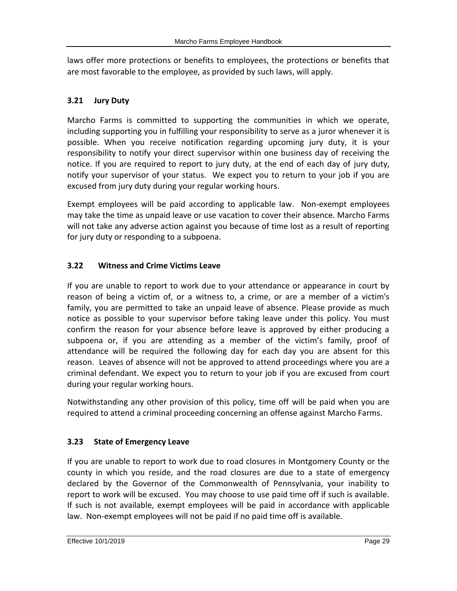laws offer more protections or benefits to employees, the protections or benefits that are most favorable to the employee, as provided by such laws, will apply.

# <span id="page-28-0"></span>**3.21 Jury Duty**

Marcho Farms is committed to supporting the communities in which we operate, including supporting you in fulfilling your responsibility to serve as a juror whenever it is possible. When you receive notification regarding upcoming jury duty, it is your responsibility to notify your direct supervisor within one business day of receiving the notice. If you are required to report to jury duty, at the end of each day of jury duty, notify your supervisor of your status. We expect you to return to your job if you are excused from jury duty during your regular working hours.

Exempt employees will be paid according to applicable law. Non-exempt employees may take the time as unpaid leave or use vacation to cover their absence. Marcho Farms will not take any adverse action against you because of time lost as a result of reporting for jury duty or responding to a subpoena.

# <span id="page-28-1"></span>**3.22 Witness and Crime Victims Leave**

If you are unable to report to work due to your attendance or appearance in court by reason of being a victim of, or a witness to, a crime, or are a member of a victim's family, you are permitted to take an unpaid leave of absence. Please provide as much notice as possible to your supervisor before taking leave under this policy. You must confirm the reason for your absence before leave is approved by either producing a subpoena or, if you are attending as a member of the victim's family, proof of attendance will be required the following day for each day you are absent for this reason. Leaves of absence will not be approved to attend proceedings where you are a criminal defendant. We expect you to return to your job if you are excused from court during your regular working hours.

Notwithstanding any other provision of this policy, time off will be paid when you are required to attend a criminal proceeding concerning an offense against Marcho Farms.

# <span id="page-28-2"></span>**3.23 State of Emergency Leave**

If you are unable to report to work due to road closures in Montgomery County or the county in which you reside, and the road closures are due to a state of emergency declared by the Governor of the Commonwealth of Pennsylvania, your inability to report to work will be excused. You may choose to use paid time off if such is available. If such is not available, exempt employees will be paid in accordance with applicable law. Non-exempt employees will not be paid if no paid time off is available.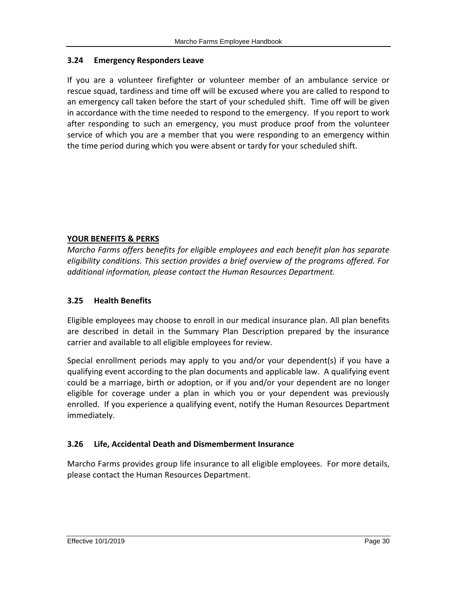## <span id="page-29-0"></span>**3.24 Emergency Responders Leave**

If you are a volunteer firefighter or volunteer member of an ambulance service or rescue squad, tardiness and time off will be excused where you are called to respond to an emergency call taken before the start of your scheduled shift. Time off will be given in accordance with the time needed to respond to the emergency. If you report to work after responding to such an emergency, you must produce proof from the volunteer service of which you are a member that you were responding to an emergency within the time period during which you were absent or tardy for your scheduled shift.

## **YOUR BENEFITS & PERKS**

*Marcho Farms offers benefits for eligible employees and each benefit plan has separate eligibility conditions. This section provides a brief overview of the programs offered. For additional information, please contact the Human Resources Department.*

## <span id="page-29-1"></span>**3.25 Health Benefits**

Eligible employees may choose to enroll in our medical insurance plan. All plan benefits are described in detail in the Summary Plan Description prepared by the insurance carrier and available to all eligible employees for review.

Special enrollment periods may apply to you and/or your dependent(s) if you have a qualifying event according to the plan documents and applicable law. A qualifying event could be a marriage, birth or adoption, or if you and/or your dependent are no longer eligible for coverage under a plan in which you or your dependent was previously enrolled. If you experience a qualifying event, notify the Human Resources Department immediately.

## <span id="page-29-2"></span>**3.26 Life, Accidental Death and Dismemberment Insurance**

Marcho Farms provides group life insurance to all eligible employees. For more details, please contact the Human Resources Department.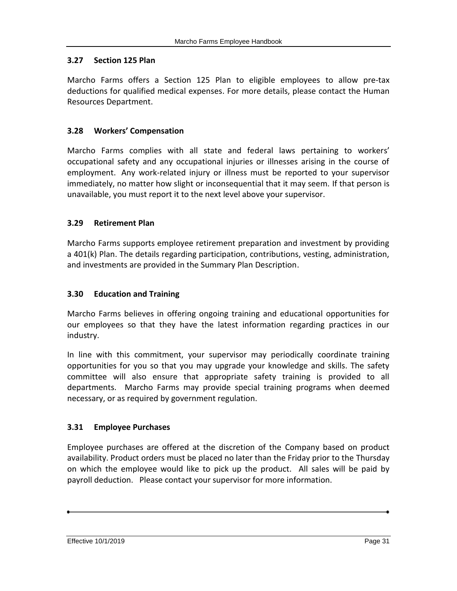#### <span id="page-30-0"></span>**3.27 Section 125 Plan**

Marcho Farms offers a Section 125 Plan to eligible employees to allow pre-tax deductions for qualified medical expenses. For more details, please contact the Human Resources Department.

#### <span id="page-30-1"></span>**3.28 Workers' Compensation**

Marcho Farms complies with all state and federal laws pertaining to workers' occupational safety and any occupational injuries or illnesses arising in the course of employment. Any work-related injury or illness must be reported to your supervisor immediately, no matter how slight or inconsequential that it may seem. If that person is unavailable, you must report it to the next level above your supervisor.

#### <span id="page-30-2"></span>**3.29 Retirement Plan**

Marcho Farms supports employee retirement preparation and investment by providing a 401(k) Plan. The details regarding participation, contributions, vesting, administration, and investments are provided in the Summary Plan Description.

#### <span id="page-30-3"></span>**3.30 Education and Training**

Marcho Farms believes in offering ongoing training and educational opportunities for our employees so that they have the latest information regarding practices in our industry.

In line with this commitment, your supervisor may periodically coordinate training opportunities for you so that you may upgrade your knowledge and skills. The safety committee will also ensure that appropriate safety training is provided to all departments. Marcho Farms may provide special training programs when deemed necessary, or as required by government regulation.

#### <span id="page-30-4"></span>**3.31 Employee Purchases**

Employee purchases are offered at the discretion of the Company based on product availability. Product orders must be placed no later than the Friday prior to the Thursday on which the employee would like to pick up the product. All sales will be paid by payroll deduction. Please contact your supervisor for more information.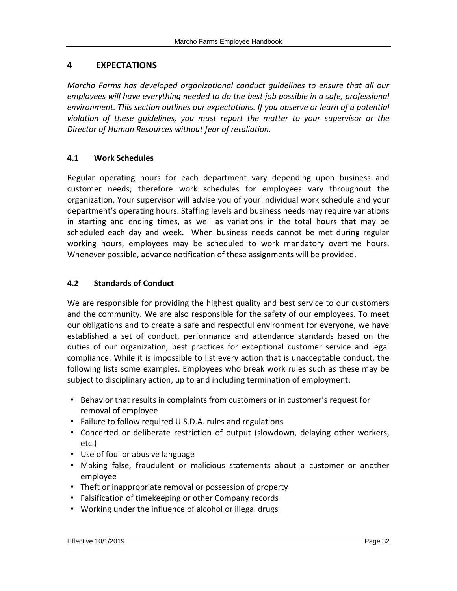# <span id="page-31-0"></span>**4 EXPECTATIONS**

*Marcho Farms has developed organizational conduct guidelines to ensure that all our employees will have everything needed to do the best job possible in a safe, professional environment. This section outlines our expectations. If you observe or learn of a potential violation of these guidelines, you must report the matter to your supervisor or the Director of Human Resources without fear of retaliation.*

## <span id="page-31-1"></span>**4.1 Work Schedules**

Regular operating hours for each department vary depending upon business and customer needs; therefore work schedules for employees vary throughout the organization. Your supervisor will advise you of your individual work schedule and your department's operating hours. Staffing levels and business needs may require variations in starting and ending times, as well as variations in the total hours that may be scheduled each day and week. When business needs cannot be met during regular working hours, employees may be scheduled to work mandatory overtime hours. Whenever possible, advance notification of these assignments will be provided.

# <span id="page-31-2"></span>**4.2 Standards of Conduct**

We are responsible for providing the highest quality and best service to our customers and the community. We are also responsible for the safety of our employees. To meet our obligations and to create a safe and respectful environment for everyone, we have established a set of conduct, performance and attendance standards based on the duties of our organization, best practices for exceptional customer service and legal compliance. While it is impossible to list every action that is unacceptable conduct, the following lists some examples. Employees who break work rules such as these may be subject to disciplinary action, up to and including termination of employment:

- Behavior that results in complaints from customers or in customer's request for removal of employee
- Failure to follow required U.S.D.A. rules and regulations
- Concerted or deliberate restriction of output (slowdown, delaying other workers, etc.)
- Use of foul or abusive language
- Making false, fraudulent or malicious statements about a customer or another employee
- Theft or inappropriate removal or possession of property
- Falsification of timekeeping or other Company records
- Working under the influence of alcohol or illegal drugs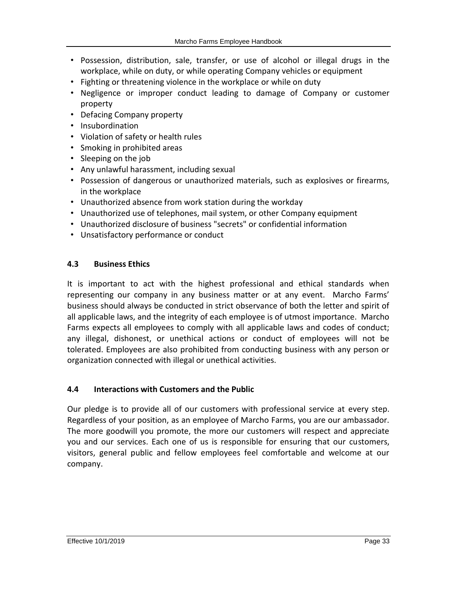- Possession, distribution, sale, transfer, or use of alcohol or illegal drugs in the workplace, while on duty, or while operating Company vehicles or equipment
- Fighting or threatening violence in the workplace or while on duty
- Negligence or improper conduct leading to damage of Company or customer property
- Defacing Company property
- Insubordination
- Violation of safety or health rules
- Smoking in prohibited areas
- Sleeping on the job
- Any unlawful harassment, including sexual
- Possession of dangerous or unauthorized materials, such as explosives or firearms, in the workplace
- Unauthorized absence from work station during the workday
- Unauthorized use of telephones, mail system, or other Company equipment
- Unauthorized disclosure of business "secrets" or confidential information
- <span id="page-32-0"></span>• Unsatisfactory performance or conduct

#### **4.3 Business Ethics**

It is important to act with the highest professional and ethical standards when representing our company in any business matter or at any event. Marcho Farms' business should always be conducted in strict observance of both the letter and spirit of all applicable laws, and the integrity of each employee is of utmost importance. Marcho Farms expects all employees to comply with all applicable laws and codes of conduct; any illegal, dishonest, or unethical actions or conduct of employees will not be tolerated. Employees are also prohibited from conducting business with any person or organization connected with illegal or unethical activities.

#### <span id="page-32-1"></span>**4.4 Interactions with Customers and the Public**

Our pledge is to provide all of our customers with professional service at every step. Regardless of your position, as an employee of Marcho Farms, you are our ambassador. The more goodwill you promote, the more our customers will respect and appreciate you and our services. Each one of us is responsible for ensuring that our customers, visitors, general public and fellow employees feel comfortable and welcome at our company.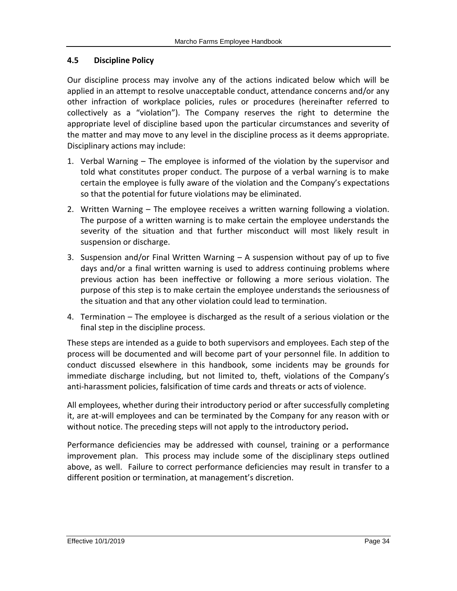#### <span id="page-33-0"></span>**4.5 Discipline Policy**

Our discipline process may involve any of the actions indicated below which will be applied in an attempt to resolve unacceptable conduct, attendance concerns and/or any other infraction of workplace policies, rules or procedures (hereinafter referred to collectively as a "violation"). The Company reserves the right to determine the appropriate level of discipline based upon the particular circumstances and severity of the matter and may move to any level in the discipline process as it deems appropriate. Disciplinary actions may include:

- 1. Verbal Warning The employee is informed of the violation by the supervisor and told what constitutes proper conduct. The purpose of a verbal warning is to make certain the employee is fully aware of the violation and the Company's expectations so that the potential for future violations may be eliminated.
- 2. Written Warning The employee receives a written warning following a violation. The purpose of a written warning is to make certain the employee understands the severity of the situation and that further misconduct will most likely result in suspension or discharge.
- 3. Suspension and/or Final Written Warning A suspension without pay of up to five days and/or a final written warning is used to address continuing problems where previous action has been ineffective or following a more serious violation. The purpose of this step is to make certain the employee understands the seriousness of the situation and that any other violation could lead to termination.
- 4. Termination The employee is discharged as the result of a serious violation or the final step in the discipline process.

These steps are intended as a guide to both supervisors and employees. Each step of the process will be documented and will become part of your personnel file. In addition to conduct discussed elsewhere in this handbook, some incidents may be grounds for immediate discharge including, but not limited to, theft, violations of the Company's anti-harassment policies, falsification of time cards and threats or acts of violence.

All employees, whether during their introductory period or after successfully completing it, are at-will employees and can be terminated by the Company for any reason with or without notice. The preceding steps will not apply to the introductory period**.**

Performance deficiencies may be addressed with counsel, training or a performance improvement plan. This process may include some of the disciplinary steps outlined above, as well. Failure to correct performance deficiencies may result in transfer to a different position or termination, at management's discretion.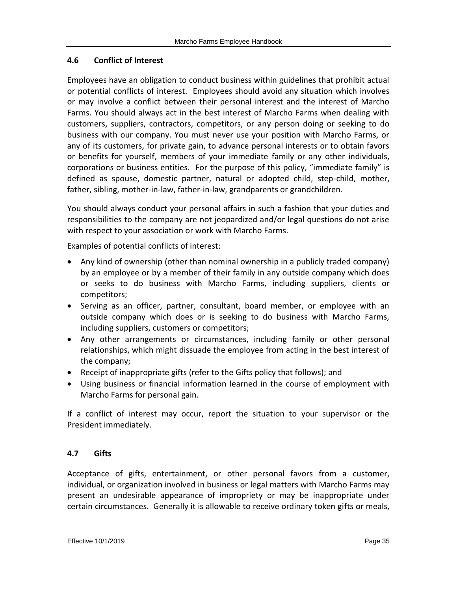## <span id="page-34-0"></span>**4.6 Conflict of Interest**

Employees have an obligation to conduct business within guidelines that prohibit actual or potential conflicts of interest. Employees should avoid any situation which involves or may involve a conflict between their personal interest and the interest of Marcho Farms. You should always act in the best interest of Marcho Farms when dealing with customers, suppliers, contractors, competitors, or any person doing or seeking to do business with our company. You must never use your position with Marcho Farms, or any of its customers, for private gain, to advance personal interests or to obtain favors or benefits for yourself, members of your immediate family or any other individuals, corporations or business entities. For the purpose of this policy, "immediate family" is defined as spouse, domestic partner, natural or adopted child, step-child, mother, father, sibling, mother-in-law, father-in-law, grandparents or grandchildren.

You should always conduct your personal affairs in such a fashion that your duties and responsibilities to the company are not jeopardized and/or legal questions do not arise with respect to your association or work with Marcho Farms.

Examples of potential conflicts of interest:

- Any kind of ownership (other than nominal ownership in a publicly traded company) by an employee or by a member of their family in any outside company which does or seeks to do business with Marcho Farms, including suppliers, clients or competitors;
- Serving as an officer, partner, consultant, board member, or employee with an outside company which does or is seeking to do business with Marcho Farms, including suppliers, customers or competitors;
- Any other arrangements or circumstances, including family or other personal relationships, which might dissuade the employee from acting in the best interest of the company;
- Receipt of inappropriate gifts (refer to the Gifts policy that follows); and
- Using business or financial information learned in the course of employment with Marcho Farms for personal gain.

If a conflict of interest may occur, report the situation to your supervisor or the President immediately.

# <span id="page-34-1"></span>**4.7 Gifts**

Acceptance of gifts, entertainment, or other personal favors from a customer, individual, or organization involved in business or legal matters with Marcho Farms may present an undesirable appearance of impropriety or may be inappropriate under certain circumstances. Generally it is allowable to receive ordinary token gifts or meals,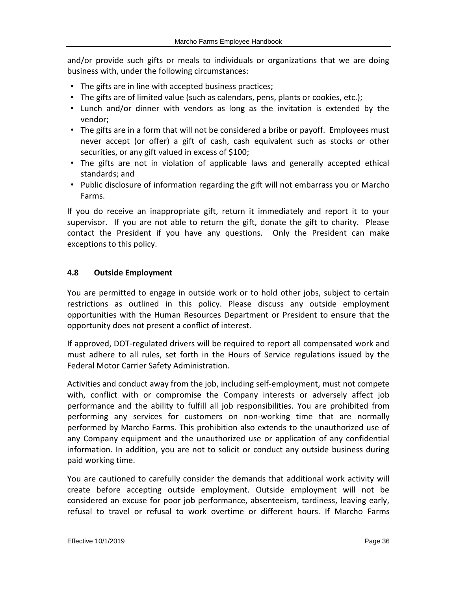and/or provide such gifts or meals to individuals or organizations that we are doing business with, under the following circumstances:

- The gifts are in line with accepted business practices;
- The gifts are of limited value (such as calendars, pens, plants or cookies, etc.);
- Lunch and/or dinner with vendors as long as the invitation is extended by the vendor;
- The gifts are in a form that will not be considered a bribe or payoff. Employees must never accept (or offer) a gift of cash, cash equivalent such as stocks or other securities, or any gift valued in excess of \$100;
- The gifts are not in violation of applicable laws and generally accepted ethical standards; and
- Public disclosure of information regarding the gift will not embarrass you or Marcho Farms.

If you do receive an inappropriate gift, return it immediately and report it to your supervisor. If you are not able to return the gift, donate the gift to charity. Please contact the President if you have any questions. Only the President can make exceptions to this policy.

# <span id="page-35-0"></span>**4.8 Outside Employment**

You are permitted to engage in outside work or to hold other jobs, subject to certain restrictions as outlined in this policy. Please discuss any outside employment opportunities with the Human Resources Department or President to ensure that the opportunity does not present a conflict of interest.

If approved, DOT-regulated drivers will be required to report all compensated work and must adhere to all rules, set forth in the Hours of Service regulations issued by the Federal Motor Carrier Safety Administration.

Activities and conduct away from the job, including self-employment, must not compete with, conflict with or compromise the Company interests or adversely affect job performance and the ability to fulfill all job responsibilities. You are prohibited from performing any services for customers on non-working time that are normally performed by Marcho Farms. This prohibition also extends to the unauthorized use of any Company equipment and the unauthorized use or application of any confidential information. In addition, you are not to solicit or conduct any outside business during paid working time.

You are cautioned to carefully consider the demands that additional work activity will create before accepting outside employment. Outside employment will not be considered an excuse for poor job performance, absenteeism, tardiness, leaving early, refusal to travel or refusal to work overtime or different hours. If Marcho Farms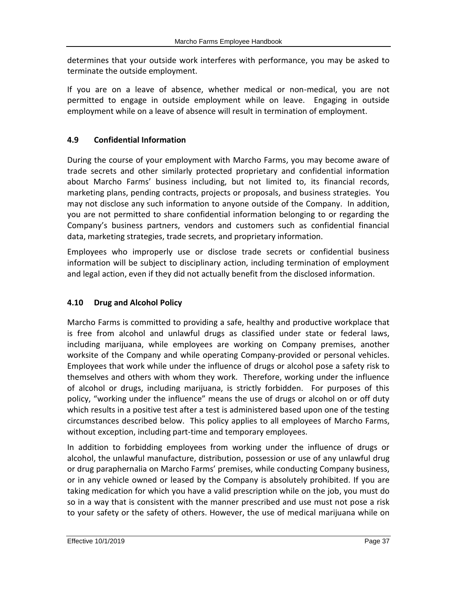determines that your outside work interferes with performance, you may be asked to terminate the outside employment.

If you are on a leave of absence, whether medical or non-medical, you are not permitted to engage in outside employment while on leave. Engaging in outside employment while on a leave of absence will result in termination of employment.

# <span id="page-36-0"></span>**4.9 Confidential Information**

During the course of your employment with Marcho Farms, you may become aware of trade secrets and other similarly protected proprietary and confidential information about Marcho Farms' business including, but not limited to, its financial records, marketing plans, pending contracts, projects or proposals, and business strategies. You may not disclose any such information to anyone outside of the Company. In addition, you are not permitted to share confidential information belonging to or regarding the Company's business partners, vendors and customers such as confidential financial data, marketing strategies, trade secrets, and proprietary information.

Employees who improperly use or disclose trade secrets or confidential business information will be subject to disciplinary action, including termination of employment and legal action, even if they did not actually benefit from the disclosed information.

# <span id="page-36-1"></span>**4.10 Drug and Alcohol Policy**

Marcho Farms is committed to providing a safe, healthy and productive workplace that is free from alcohol and unlawful drugs as classified under state or federal laws, including marijuana, while employees are working on Company premises, another worksite of the Company and while operating Company-provided or personal vehicles. Employees that work while under the influence of drugs or alcohol pose a safety risk to themselves and others with whom they work. Therefore, working under the influence of alcohol or drugs, including marijuana, is strictly forbidden. For purposes of this policy, "working under the influence" means the use of drugs or alcohol on or off duty which results in a positive test after a test is administered based upon one of the testing circumstances described below. This policy applies to all employees of Marcho Farms, without exception, including part-time and temporary employees.

In addition to forbidding employees from working under the influence of drugs or alcohol, the unlawful manufacture, distribution, possession or use of any unlawful drug or drug paraphernalia on Marcho Farms' premises, while conducting Company business, or in any vehicle owned or leased by the Company is absolutely prohibited. If you are taking medication for which you have a valid prescription while on the job, you must do so in a way that is consistent with the manner prescribed and use must not pose a risk to your safety or the safety of others. However, the use of medical marijuana while on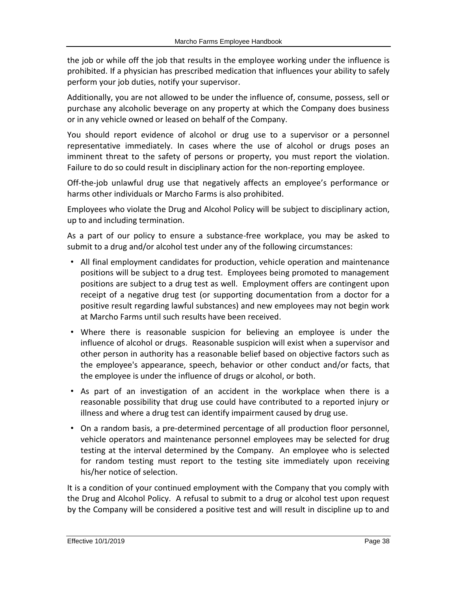the job or while off the job that results in the employee working under the influence is prohibited. If a physician has prescribed medication that influences your ability to safely perform your job duties, notify your supervisor.

Additionally, you are not allowed to be under the influence of, consume, possess, sell or purchase any alcoholic beverage on any property at which the Company does business or in any vehicle owned or leased on behalf of the Company.

You should report evidence of alcohol or drug use to a supervisor or a personnel representative immediately. In cases where the use of alcohol or drugs poses an imminent threat to the safety of persons or property, you must report the violation. Failure to do so could result in disciplinary action for the non-reporting employee.

Off-the-job unlawful drug use that negatively affects an employee's performance or harms other individuals or Marcho Farms is also prohibited.

Employees who violate the Drug and Alcohol Policy will be subject to disciplinary action, up to and including termination.

As a part of our policy to ensure a substance-free workplace, you may be asked to submit to a drug and/or alcohol test under any of the following circumstances:

- All final employment candidates for production, vehicle operation and maintenance positions will be subject to a drug test. Employees being promoted to management positions are subject to a drug test as well. Employment offers are contingent upon receipt of a negative drug test (or supporting documentation from a doctor for a positive result regarding lawful substances) and new employees may not begin work at Marcho Farms until such results have been received.
- Where there is reasonable suspicion for believing an employee is under the influence of alcohol or drugs. Reasonable suspicion will exist when a supervisor and other person in authority has a reasonable belief based on objective factors such as the employee's appearance, speech, behavior or other conduct and/or facts, that the employee is under the influence of drugs or alcohol, or both.
- As part of an investigation of an accident in the workplace when there is a reasonable possibility that drug use could have contributed to a reported injury or illness and where a drug test can identify impairment caused by drug use.
- On a random basis, a pre-determined percentage of all production floor personnel, vehicle operators and maintenance personnel employees may be selected for drug testing at the interval determined by the Company. An employee who is selected for random testing must report to the testing site immediately upon receiving his/her notice of selection.

It is a condition of your continued employment with the Company that you comply with the Drug and Alcohol Policy. A refusal to submit to a drug or alcohol test upon request by the Company will be considered a positive test and will result in discipline up to and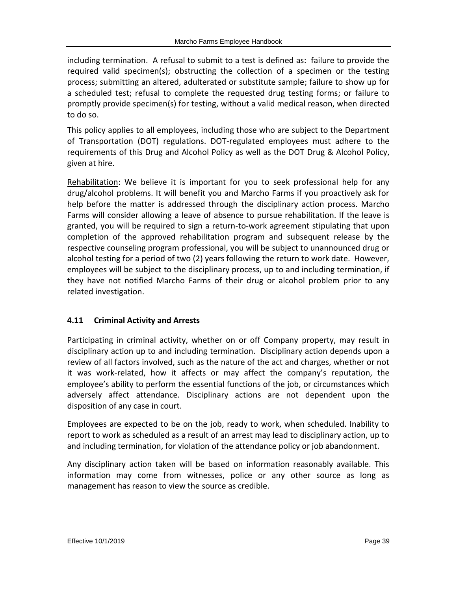including termination. A refusal to submit to a test is defined as: failure to provide the required valid specimen(s); obstructing the collection of a specimen or the testing process; submitting an altered, adulterated or substitute sample; failure to show up for a scheduled test; refusal to complete the requested drug testing forms; or failure to promptly provide specimen(s) for testing, without a valid medical reason, when directed to do so.

This policy applies to all employees, including those who are subject to the Department of Transportation (DOT) regulations. DOT-regulated employees must adhere to the requirements of this Drug and Alcohol Policy as well as the DOT Drug & Alcohol Policy, given at hire.

Rehabilitation: We believe it is important for you to seek professional help for any drug/alcohol problems. It will benefit you and Marcho Farms if you proactively ask for help before the matter is addressed through the disciplinary action process. Marcho Farms will consider allowing a leave of absence to pursue rehabilitation. If the leave is granted, you will be required to sign a return-to-work agreement stipulating that upon completion of the approved rehabilitation program and subsequent release by the respective counseling program professional, you will be subject to unannounced drug or alcohol testing for a period of two (2) years following the return to work date. However, employees will be subject to the disciplinary process, up to and including termination, if they have not notified Marcho Farms of their drug or alcohol problem prior to any related investigation.

# <span id="page-38-0"></span>**4.11 Criminal Activity and Arrests**

Participating in criminal activity, whether on or off Company property, may result in disciplinary action up to and including termination. Disciplinary action depends upon a review of all factors involved, such as the nature of the act and charges, whether or not it was work-related, how it affects or may affect the company's reputation, the employee's ability to perform the essential functions of the job, or circumstances which adversely affect attendance. Disciplinary actions are not dependent upon the disposition of any case in court.

Employees are expected to be on the job, ready to work, when scheduled. Inability to report to work as scheduled as a result of an arrest may lead to disciplinary action, up to and including termination, for violation of the attendance policy or job abandonment.

Any disciplinary action taken will be based on information reasonably available. This information may come from witnesses, police or any other source as long as management has reason to view the source as credible.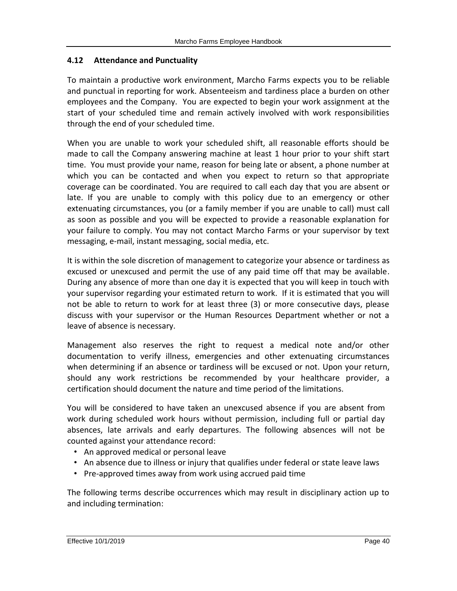#### <span id="page-39-0"></span>**4.12 Attendance and Punctuality**

To maintain a productive work environment, Marcho Farms expects you to be reliable and punctual in reporting for work. Absenteeism and tardiness place a burden on other employees and the Company. You are expected to begin your work assignment at the start of your scheduled time and remain actively involved with work responsibilities through the end of your scheduled time.

When you are unable to work your scheduled shift, all reasonable efforts should be made to call the Company answering machine at least 1 hour prior to your shift start time. You must provide your name, reason for being late or absent, a phone number at which you can be contacted and when you expect to return so that appropriate coverage can be coordinated. You are required to call each day that you are absent or late. If you are unable to comply with this policy due to an emergency or other extenuating circumstances, you (or a family member if you are unable to call) must call as soon as possible and you will be expected to provide a reasonable explanation for your failure to comply. You may not contact Marcho Farms or your supervisor by text messaging, e-mail, instant messaging, social media, etc.

It is within the sole discretion of management to categorize your absence or tardiness as excused or unexcused and permit the use of any paid time off that may be available. During any absence of more than one day it is expected that you will keep in touch with your supervisor regarding your estimated return to work. If it is estimated that you will not be able to return to work for at least three (3) or more consecutive days, please discuss with your supervisor or the Human Resources Department whether or not a leave of absence is necessary.

Management also reserves the right to request a medical note and/or other documentation to verify illness, emergencies and other extenuating circumstances when determining if an absence or tardiness will be excused or not. Upon your return, should any work restrictions be recommended by your healthcare provider, a certification should document the nature and time period of the limitations.

You will be considered to have taken an unexcused absence if you are absent from work during scheduled work hours without permission, including full or partial day absences, late arrivals and early departures. The following absences will not be counted against your attendance record:

- An approved medical or personal leave
- An absence due to illness or injury that qualifies under federal or state leave laws
- Pre-approved times away from work using accrued paid time

The following terms describe occurrences which may result in disciplinary action up to and including termination: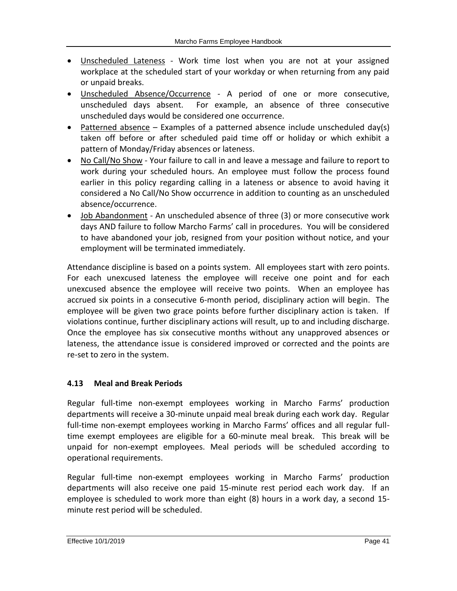- Unscheduled Lateness Work time lost when you are not at your assigned workplace at the scheduled start of your workday or when returning from any paid or unpaid breaks.
- Unscheduled Absence/Occurrence A period of one or more consecutive, unscheduled days absent. For example, an absence of three consecutive unscheduled days would be considered one occurrence.
- Patterned absence  $-$  Examples of a patterned absence include unscheduled day(s) taken off before or after scheduled paid time off or holiday or which exhibit a pattern of Monday/Friday absences or lateness.
- No Call/No Show Your failure to call in and leave a message and failure to report to work during your scheduled hours. An employee must follow the process found earlier in this policy regarding calling in a lateness or absence to avoid having it considered a No Call/No Show occurrence in addition to counting as an unscheduled absence/occurrence.
- Job Abandonment An unscheduled absence of three (3) or more consecutive work days AND failure to follow Marcho Farms' call in procedures. You will be considered to have abandoned your job, resigned from your position without notice, and your employment will be terminated immediately.

Attendance discipline is based on a points system. All employees start with zero points. For each unexcused lateness the employee will receive one point and for each unexcused absence the employee will receive two points. When an employee has accrued six points in a consecutive 6-month period, disciplinary action will begin. The employee will be given two grace points before further disciplinary action is taken. If violations continue, further disciplinary actions will result, up to and including discharge. Once the employee has six consecutive months without any unapproved absences or lateness, the attendance issue is considered improved or corrected and the points are re-set to zero in the system.

# <span id="page-40-0"></span>**4.13 Meal and Break Periods**

Regular full-time non-exempt employees working in Marcho Farms' production departments will receive a 30-minute unpaid meal break during each work day. Regular full-time non-exempt employees working in Marcho Farms' offices and all regular fulltime exempt employees are eligible for a 60-minute meal break. This break will be unpaid for non-exempt employees. Meal periods will be scheduled according to operational requirements.

Regular full-time non-exempt employees working in Marcho Farms' production departments will also receive one paid 15-minute rest period each work day. If an employee is scheduled to work more than eight (8) hours in a work day, a second 15 minute rest period will be scheduled.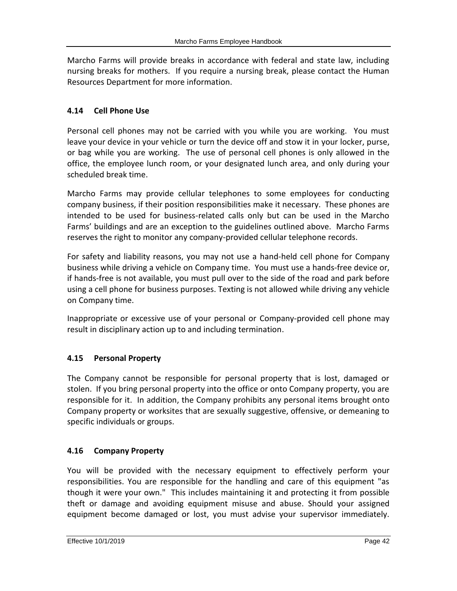Marcho Farms will provide breaks in accordance with federal and state law, including nursing breaks for mothers. If you require a nursing break, please contact the Human Resources Department for more information.

# <span id="page-41-0"></span>**4.14 Cell Phone Use**

Personal cell phones may not be carried with you while you are working. You must leave your device in your vehicle or turn the device off and stow it in your locker, purse, or bag while you are working. The use of personal cell phones is only allowed in the office, the employee lunch room, or your designated lunch area, and only during your scheduled break time.

Marcho Farms may provide cellular telephones to some employees for conducting company business, if their position responsibilities make it necessary. These phones are intended to be used for business-related calls only but can be used in the Marcho Farms' buildings and are an exception to the guidelines outlined above. Marcho Farms reserves the right to monitor any company-provided cellular telephone records.

For safety and liability reasons, you may not use a hand-held cell phone for Company business while driving a vehicle on Company time. You must use a hands-free device or, if hands-free is not available, you must pull over to the side of the road and park before using a cell phone for business purposes. Texting is not allowed while driving any vehicle on Company time.

Inappropriate or excessive use of your personal or Company-provided cell phone may result in disciplinary action up to and including termination.

# <span id="page-41-1"></span>**4.15 Personal Property**

The Company cannot be responsible for personal property that is lost, damaged or stolen. If you bring personal property into the office or onto Company property, you are responsible for it. In addition, the Company prohibits any personal items brought onto Company property or worksites that are sexually suggestive, offensive, or demeaning to specific individuals or groups.

# <span id="page-41-2"></span>**4.16 Company Property**

You will be provided with the necessary equipment to effectively perform your responsibilities. You are responsible for the handling and care of this equipment "as though it were your own." This includes maintaining it and protecting it from possible theft or damage and avoiding equipment misuse and abuse. Should your assigned equipment become damaged or lost, you must advise your supervisor immediately.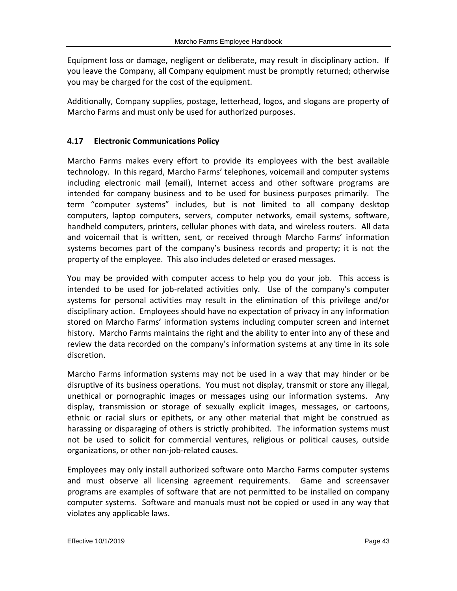Equipment loss or damage, negligent or deliberate, may result in disciplinary action. If you leave the Company, all Company equipment must be promptly returned; otherwise you may be charged for the cost of the equipment.

Additionally, Company supplies, postage, letterhead, logos, and slogans are property of Marcho Farms and must only be used for authorized purposes.

# <span id="page-42-0"></span>**4.17 Electronic Communications Policy**

Marcho Farms makes every effort to provide its employees with the best available technology. In this regard, Marcho Farms' telephones, voicemail and computer systems including electronic mail (email), Internet access and other software programs are intended for company business and to be used for business purposes primarily. The term "computer systems" includes, but is not limited to all company desktop computers, laptop computers, servers, computer networks, email systems, software, handheld computers, printers, cellular phones with data, and wireless routers. All data and voicemail that is written, sent, or received through Marcho Farms' information systems becomes part of the company's business records and property; it is not the property of the employee. This also includes deleted or erased messages.

You may be provided with computer access to help you do your job. This access is intended to be used for job-related activities only. Use of the company's computer systems for personal activities may result in the elimination of this privilege and/or disciplinary action. Employees should have no expectation of privacy in any information stored on Marcho Farms' information systems including computer screen and internet history. Marcho Farms maintains the right and the ability to enter into any of these and review the data recorded on the company's information systems at any time in its sole discretion.

Marcho Farms information systems may not be used in a way that may hinder or be disruptive of its business operations. You must not display, transmit or store any illegal, unethical or pornographic images or messages using our information systems. Any display, transmission or storage of sexually explicit images, messages, or cartoons, ethnic or racial slurs or epithets, or any other material that might be construed as harassing or disparaging of others is strictly prohibited. The information systems must not be used to solicit for commercial ventures, religious or political causes, outside organizations, or other non-job-related causes.

Employees may only install authorized software onto Marcho Farms computer systems and must observe all licensing agreement requirements. Game and screensaver programs are examples of software that are not permitted to be installed on company computer systems. Software and manuals must not be copied or used in any way that violates any applicable laws.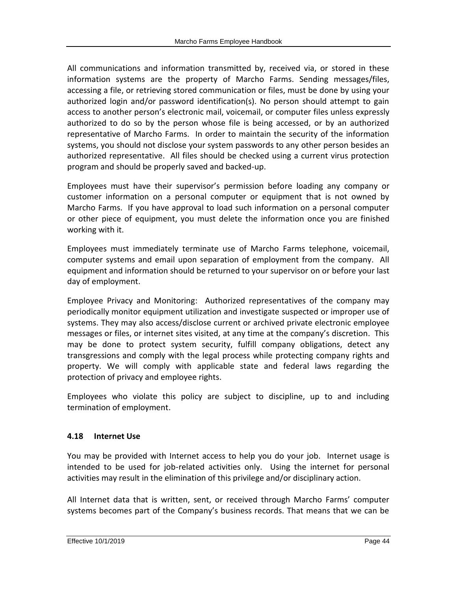All communications and information transmitted by, received via, or stored in these information systems are the property of Marcho Farms. Sending messages/files, accessing a file, or retrieving stored communication or files, must be done by using your authorized login and/or password identification(s). No person should attempt to gain access to another person's electronic mail, voicemail, or computer files unless expressly authorized to do so by the person whose file is being accessed, or by an authorized representative of Marcho Farms. In order to maintain the security of the information systems, you should not disclose your system passwords to any other person besides an authorized representative. All files should be checked using a current virus protection program and should be properly saved and backed-up.

Employees must have their supervisor's permission before loading any company or customer information on a personal computer or equipment that is not owned by Marcho Farms. If you have approval to load such information on a personal computer or other piece of equipment, you must delete the information once you are finished working with it.

Employees must immediately terminate use of Marcho Farms telephone, voicemail, computer systems and email upon separation of employment from the company. All equipment and information should be returned to your supervisor on or before your last day of employment.

Employee Privacy and Monitoring: Authorized representatives of the company may periodically monitor equipment utilization and investigate suspected or improper use of systems. They may also access/disclose current or archived private electronic employee messages or files, or internet sites visited, at any time at the company's discretion. This may be done to protect system security, fulfill company obligations, detect any transgressions and comply with the legal process while protecting company rights and property. We will comply with applicable state and federal laws regarding the protection of privacy and employee rights.

Employees who violate this policy are subject to discipline, up to and including termination of employment.

# <span id="page-43-0"></span>**4.18 Internet Use**

You may be provided with Internet access to help you do your job. Internet usage is intended to be used for job-related activities only. Using the internet for personal activities may result in the elimination of this privilege and/or disciplinary action.

All Internet data that is written, sent, or received through Marcho Farms' computer systems becomes part of the Company's business records. That means that we can be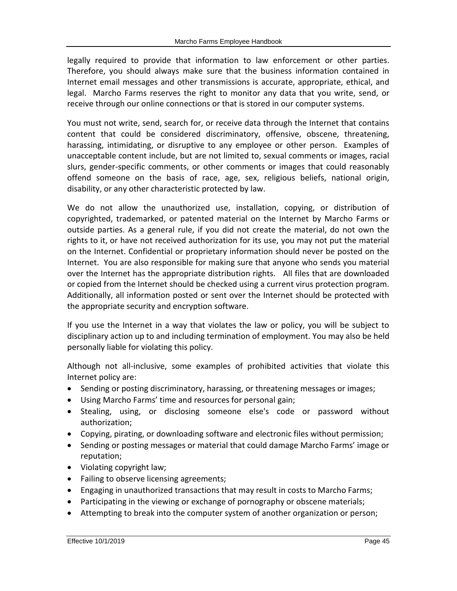legally required to provide that information to law enforcement or other parties. Therefore, you should always make sure that the business information contained in Internet email messages and other transmissions is accurate, appropriate, ethical, and legal. Marcho Farms reserves the right to monitor any data that you write, send, or receive through our online connections or that is stored in our computer systems.

You must not write, send, search for, or receive data through the Internet that contains content that could be considered discriminatory, offensive, obscene, threatening, harassing, intimidating, or disruptive to any employee or other person. Examples of unacceptable content include, but are not limited to, sexual comments or images, racial slurs, gender-specific comments, or other comments or images that could reasonably offend someone on the basis of race, age, sex, religious beliefs, national origin, disability, or any other characteristic protected by law.

We do not allow the unauthorized use, installation, copying, or distribution of copyrighted, trademarked, or patented material on the Internet by Marcho Farms or outside parties. As a general rule, if you did not create the material, do not own the rights to it, or have not received authorization for its use, you may not put the material on the Internet. Confidential or proprietary information should never be posted on the Internet. You are also responsible for making sure that anyone who sends you material over the Internet has the appropriate distribution rights. All files that are downloaded or copied from the Internet should be checked using a current virus protection program. Additionally, all information posted or sent over the Internet should be protected with the appropriate security and encryption software.

If you use the Internet in a way that violates the law or policy, you will be subject to disciplinary action up to and including termination of employment. You may also be held personally liable for violating this policy.

Although not all-inclusive, some examples of prohibited activities that violate this Internet policy are:

- Sending or posting discriminatory, harassing, or threatening messages or images;
- Using Marcho Farms' time and resources for personal gain;
- Stealing, using, or disclosing someone else's code or password without authorization;
- Copying, pirating, or downloading software and electronic files without permission;
- Sending or posting messages or material that could damage Marcho Farms' image or reputation;
- Violating copyright law;
- Failing to observe licensing agreements;
- Engaging in unauthorized transactions that may result in costs to Marcho Farms;
- Participating in the viewing or exchange of pornography or obscene materials;
- Attempting to break into the computer system of another organization or person;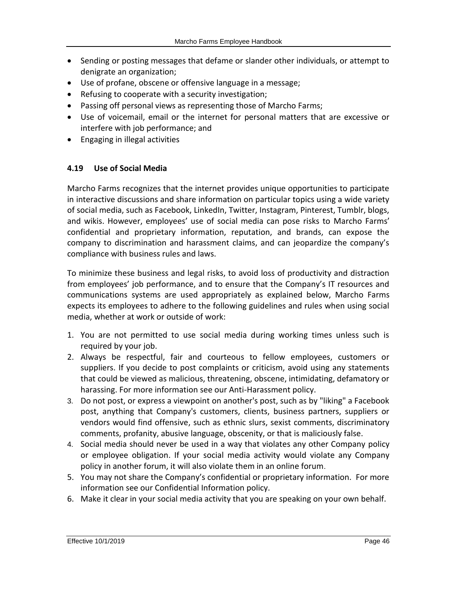- Sending or posting messages that defame or slander other individuals, or attempt to denigrate an organization;
- Use of profane, obscene or offensive language in a message;
- Refusing to cooperate with a security investigation;
- Passing off personal views as representing those of Marcho Farms;
- Use of voicemail, email or the internet for personal matters that are excessive or interfere with job performance; and
- <span id="page-45-0"></span>Engaging in illegal activities

#### **4.19 Use of Social Media**

Marcho Farms recognizes that the internet provides unique opportunities to participate in interactive discussions and share information on particular topics using a wide variety of social media, such as Facebook, LinkedIn, Twitter, Instagram, Pinterest, Tumblr, blogs, and wikis. However, employees' use of social media can pose risks to Marcho Farms' confidential and proprietary information, reputation, and brands, can expose the company to discrimination and harassment claims, and can jeopardize the company's compliance with business rules and laws.

To minimize these business and legal risks, to avoid loss of productivity and distraction from employees' job performance, and to ensure that the Company's IT resources and communications systems are used appropriately as explained below, Marcho Farms expects its employees to adhere to the following guidelines and rules when using social media, whether at work or outside of work:

- 1. You are not permitted to use social media during working times unless such is required by your job.
- 2. Always be respectful, fair and courteous to fellow employees, customers or suppliers. If you decide to post complaints or criticism, avoid using any statements that could be viewed as malicious, threatening, obscene, intimidating, defamatory or harassing. For more information see our Anti-Harassment policy.
- 3. Do not post, or express a viewpoint on another's post, such as by "liking" a Facebook post, anything that Company's customers, clients, business partners, suppliers or vendors would find offensive, such as ethnic slurs, sexist comments, discriminatory comments, profanity, abusive language, obscenity, or that is maliciously false.
- 4. Social media should never be used in a way that violates any other Company policy or employee obligation. If your social media activity would violate any Company policy in another forum, it will also violate them in an online forum.
- 5. You may not share the Company's confidential or proprietary information. For more information see our Confidential Information policy.
- 6. Make it clear in your social media activity that you are speaking on your own behalf.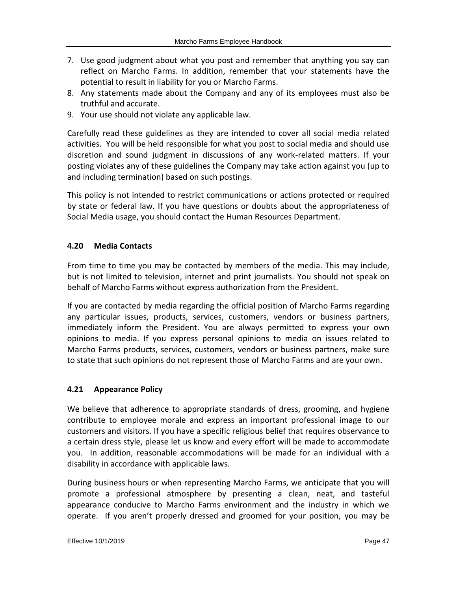- 7. Use good judgment about what you post and remember that anything you say can reflect on Marcho Farms. In addition, remember that your statements have the potential to result in liability for you or Marcho Farms.
- 8. Any statements made about the Company and any of its employees must also be truthful and accurate.
- 9. Your use should not violate any applicable law.

Carefully read these guidelines as they are intended to cover all social media related activities. You will be held responsible for what you post to social media and should use discretion and sound judgment in discussions of any work-related matters. If your posting violates any of these guidelines the Company may take action against you (up to and including termination) based on such postings.

This policy is not intended to restrict communications or actions protected or required by state or federal law. If you have questions or doubts about the appropriateness of Social Media usage, you should contact the Human Resources Department.

# <span id="page-46-0"></span>**4.20 Media Contacts**

From time to time you may be contacted by members of the media. This may include, but is not limited to television, internet and print journalists. You should not speak on behalf of Marcho Farms without express authorization from the President.

If you are contacted by media regarding the official position of Marcho Farms regarding any particular issues, products, services, customers, vendors or business partners, immediately inform the President. You are always permitted to express your own opinions to media. If you express personal opinions to media on issues related to Marcho Farms products, services, customers, vendors or business partners, make sure to state that such opinions do not represent those of Marcho Farms and are your own.

## <span id="page-46-1"></span>**4.21 Appearance Policy**

We believe that adherence to appropriate standards of dress, grooming, and hygiene contribute to employee morale and express an important professional image to our customers and visitors. If you have a specific religious belief that requires observance to a certain dress style, please let us know and every effort will be made to accommodate you. In addition, reasonable accommodations will be made for an individual with a disability in accordance with applicable laws.

During business hours or when representing Marcho Farms, we anticipate that you will promote a professional atmosphere by presenting a clean, neat, and tasteful appearance conducive to Marcho Farms environment and the industry in which we operate. If you aren't properly dressed and groomed for your position, you may be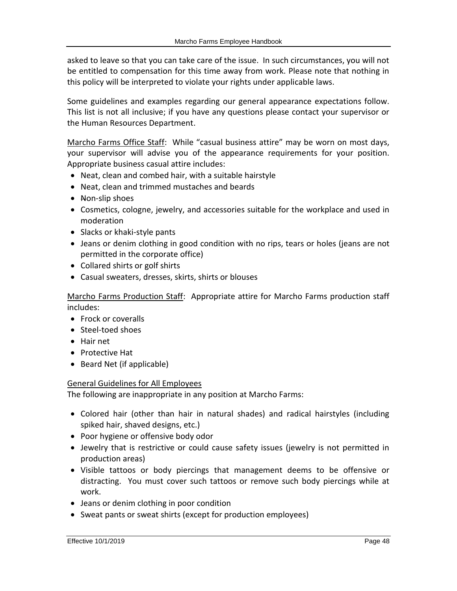asked to leave so that you can take care of the issue. In such circumstances, you will not be entitled to compensation for this time away from work. Please note that nothing in this policy will be interpreted to violate your rights under applicable laws.

Some guidelines and examples regarding our general appearance expectations follow. This list is not all inclusive; if you have any questions please contact your supervisor or the Human Resources Department.

Marcho Farms Office Staff: While "casual business attire" may be worn on most days, your supervisor will advise you of the appearance requirements for your position. Appropriate business casual attire includes:

- Neat, clean and combed hair, with a suitable hairstyle
- Neat, clean and trimmed mustaches and beards
- Non-slip shoes
- Cosmetics, cologne, jewelry, and accessories suitable for the workplace and used in moderation
- Slacks or khaki-style pants
- Jeans or denim clothing in good condition with no rips, tears or holes (jeans are not permitted in the corporate office)
- Collared shirts or golf shirts
- Casual sweaters, dresses, skirts, shirts or blouses

Marcho Farms Production Staff: Appropriate attire for Marcho Farms production staff includes:

- Frock or coveralls
- Steel-toed shoes
- Hair net
- Protective Hat
- Beard Net (if applicable)

## General Guidelines for All Employees

The following are inappropriate in any position at Marcho Farms:

- Colored hair (other than hair in natural shades) and radical hairstyles (including spiked hair, shaved designs, etc.)
- Poor hygiene or offensive body odor
- Jewelry that is restrictive or could cause safety issues (jewelry is not permitted in production areas)
- Visible tattoos or body piercings that management deems to be offensive or distracting. You must cover such tattoos or remove such body piercings while at work.
- Jeans or denim clothing in poor condition
- Sweat pants or sweat shirts (except for production employees)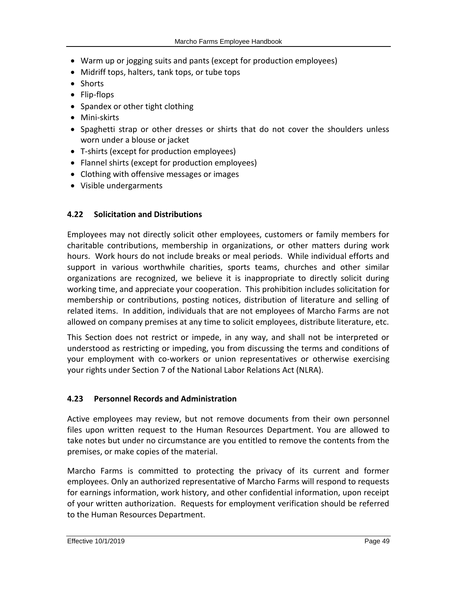- Warm up or jogging suits and pants (except for production employees)
- Midriff tops, halters, tank tops, or tube tops
- Shorts
- Flip-flops
- Spandex or other tight clothing
- Mini-skirts
- Spaghetti strap or other dresses or shirts that do not cover the shoulders unless worn under a blouse or jacket
- T-shirts (except for production employees)
- Flannel shirts (except for production employees)
- Clothing with offensive messages or images
- <span id="page-48-0"></span>Visible undergarments

## **4.22 Solicitation and Distributions**

Employees may not directly solicit other employees, customers or family members for charitable contributions, membership in organizations, or other matters during work hours. Work hours do not include breaks or meal periods. While individual efforts and support in various worthwhile charities, sports teams, churches and other similar organizations are recognized, we believe it is inappropriate to directly solicit during working time, and appreciate your cooperation. This prohibition includes solicitation for membership or contributions, posting notices, distribution of literature and selling of related items. In addition, individuals that are not employees of Marcho Farms are not allowed on company premises at any time to solicit employees, distribute literature, etc.

This Section does not restrict or impede, in any way, and shall not be interpreted or understood as restricting or impeding, you from discussing the terms and conditions of your employment with co-workers or union representatives or otherwise exercising your rights under Section 7 of the National Labor Relations Act (NLRA).

## <span id="page-48-1"></span>**4.23 Personnel Records and Administration**

Active employees may review, but not remove documents from their own personnel files upon written request to the Human Resources Department. You are allowed to take notes but under no circumstance are you entitled to remove the contents from the premises, or make copies of the material.

Marcho Farms is committed to protecting the privacy of its current and former employees. Only an authorized representative of Marcho Farms will respond to requests for earnings information, work history, and other confidential information, upon receipt of your written authorization. Requests for employment verification should be referred to the Human Resources Department.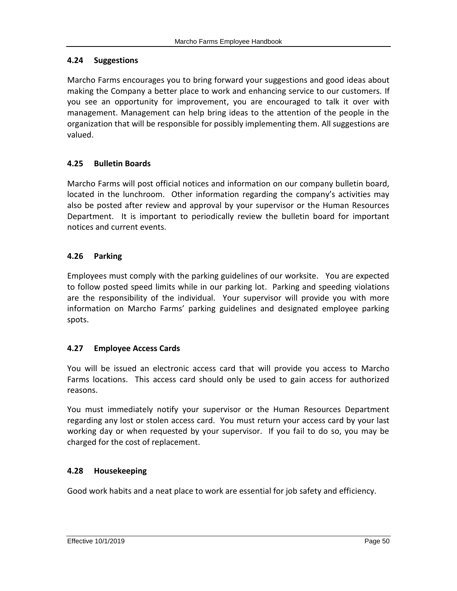## <span id="page-49-0"></span>**4.24 Suggestions**

Marcho Farms encourages you to bring forward your suggestions and good ideas about making the Company a better place to work and enhancing service to our customers. If you see an opportunity for improvement, you are encouraged to talk it over with management. Management can help bring ideas to the attention of the people in the organization that will be responsible for possibly implementing them. All suggestions are valued.

# <span id="page-49-1"></span>**4.25 Bulletin Boards**

Marcho Farms will post official notices and information on our company bulletin board, located in the lunchroom. Other information regarding the company's activities may also be posted after review and approval by your supervisor or the Human Resources Department. It is important to periodically review the bulletin board for important notices and current events.

## <span id="page-49-2"></span>**4.26 Parking**

Employees must comply with the parking guidelines of our worksite. You are expected to follow posted speed limits while in our parking lot. Parking and speeding violations are the responsibility of the individual. Your supervisor will provide you with more information on Marcho Farms' parking guidelines and designated employee parking spots.

## <span id="page-49-3"></span>**4.27 Employee Access Cards**

You will be issued an electronic access card that will provide you access to Marcho Farms locations. This access card should only be used to gain access for authorized reasons.

You must immediately notify your supervisor or the Human Resources Department regarding any lost or stolen access card. You must return your access card by your last working day or when requested by your supervisor. If you fail to do so, you may be charged for the cost of replacement.

## <span id="page-49-4"></span>**4.28 Housekeeping**

Good work habits and a neat place to work are essential for job safety and efficiency.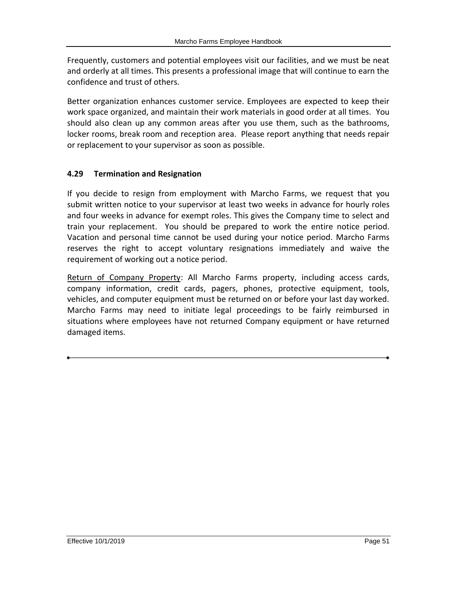Frequently, customers and potential employees visit our facilities, and we must be neat and orderly at all times. This presents a professional image that will continue to earn the confidence and trust of others.

Better organization enhances customer service. Employees are expected to keep their work space organized, and maintain their work materials in good order at all times. You should also clean up any common areas after you use them, such as the bathrooms, locker rooms, break room and reception area. Please report anything that needs repair or replacement to your supervisor as soon as possible.

# <span id="page-50-0"></span>**4.29 Termination and Resignation**

If you decide to resign from employment with Marcho Farms, we request that you submit written notice to your supervisor at least two weeks in advance for hourly roles and four weeks in advance for exempt roles. This gives the Company time to select and train your replacement. You should be prepared to work the entire notice period. Vacation and personal time cannot be used during your notice period. Marcho Farms reserves the right to accept voluntary resignations immediately and waive the requirement of working out a notice period.

Return of Company Property: All Marcho Farms property, including access cards, company information, credit cards, pagers, phones, protective equipment, tools, vehicles, and computer equipment must be returned on or before your last day worked. Marcho Farms may need to initiate legal proceedings to be fairly reimbursed in situations where employees have not returned Company equipment or have returned damaged items.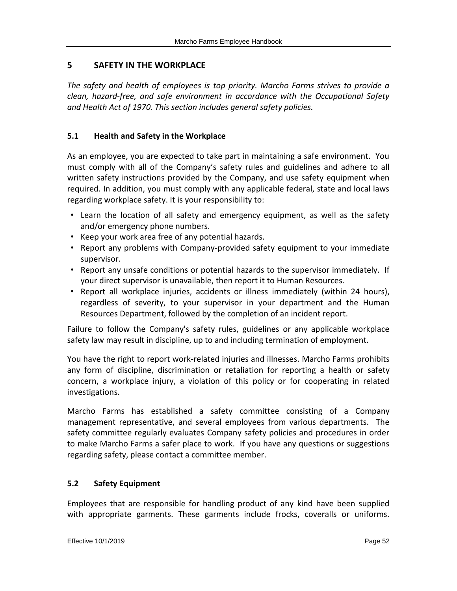# <span id="page-51-0"></span>**5 SAFETY IN THE WORKPLACE**

*The safety and health of employees is top priority. Marcho Farms strives to provide a clean, hazard-free, and safe environment in accordance with the Occupational Safety and Health Act of 1970. This section includes general safety policies.*

# <span id="page-51-1"></span>**5.1 Health and Safety in the Workplace**

As an employee, you are expected to take part in maintaining a safe environment. You must comply with all of the Company's safety rules and guidelines and adhere to all written safety instructions provided by the Company, and use safety equipment when required. In addition, you must comply with any applicable federal, state and local laws regarding workplace safety. It is your responsibility to:

- Learn the location of all safety and emergency equipment, as well as the safety and/or emergency phone numbers.
- Keep your work area free of any potential hazards.
- Report any problems with Company-provided safety equipment to your immediate supervisor.
- Report any unsafe conditions or potential hazards to the supervisor immediately. If your direct supervisor is unavailable, then report it to Human Resources.
- Report all workplace injuries, accidents or illness immediately (within 24 hours), regardless of severity, to your supervisor in your department and the Human Resources Department, followed by the completion of an incident report.

Failure to follow the Company's safety rules, guidelines or any applicable workplace safety law may result in discipline, up to and including termination of employment.

You have the right to report work-related injuries and illnesses. Marcho Farms prohibits any form of discipline, discrimination or retaliation for reporting a health or safety concern, a workplace injury, a violation of this policy or for cooperating in related investigations.

Marcho Farms has established a safety committee consisting of a Company management representative, and several employees from various departments. The safety committee regularly evaluates Company safety policies and procedures in order to make Marcho Farms a safer place to work. If you have any questions or suggestions regarding safety, please contact a committee member.

## <span id="page-51-2"></span>**5.2 Safety Equipment**

Employees that are responsible for handling product of any kind have been supplied with appropriate garments. These garments include frocks, coveralls or uniforms.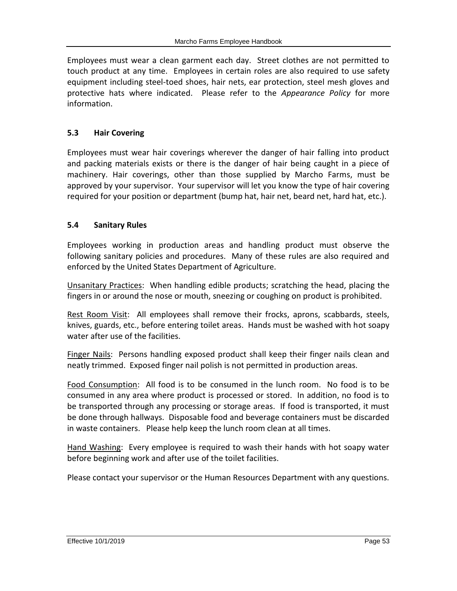Employees must wear a clean garment each day. Street clothes are not permitted to touch product at any time. Employees in certain roles are also required to use safety equipment including steel-toed shoes, hair nets, ear protection, steel mesh gloves and protective hats where indicated. Please refer to the *Appearance Policy* for more information.

## <span id="page-52-0"></span>**5.3 Hair Covering**

Employees must wear hair coverings wherever the danger of hair falling into product and packing materials exists or there is the danger of hair being caught in a piece of machinery. Hair coverings, other than those supplied by Marcho Farms, must be approved by your supervisor. Your supervisor will let you know the type of hair covering required for your position or department (bump hat, hair net, beard net, hard hat, etc.).

# <span id="page-52-1"></span>**5.4 Sanitary Rules**

Employees working in production areas and handling product must observe the following sanitary policies and procedures. Many of these rules are also required and enforced by the United States Department of Agriculture.

Unsanitary Practices: When handling edible products; scratching the head, placing the fingers in or around the nose or mouth, sneezing or coughing on product is prohibited.

Rest Room Visit: All employees shall remove their frocks, aprons, scabbards, steels, knives, guards, etc., before entering toilet areas. Hands must be washed with hot soapy water after use of the facilities.

Finger Nails: Persons handling exposed product shall keep their finger nails clean and neatly trimmed. Exposed finger nail polish is not permitted in production areas.

Food Consumption: All food is to be consumed in the lunch room. No food is to be consumed in any area where product is processed or stored. In addition, no food is to be transported through any processing or storage areas. If food is transported, it must be done through hallways. Disposable food and beverage containers must be discarded in waste containers. Please help keep the lunch room clean at all times.

Hand Washing: Every employee is required to wash their hands with hot soapy water before beginning work and after use of the toilet facilities.

Please contact your supervisor or the Human Resources Department with any questions.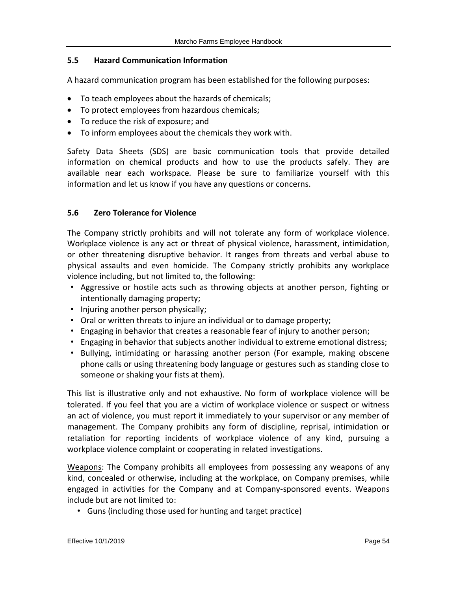#### <span id="page-53-0"></span>**5.5 Hazard Communication Information**

A hazard communication program has been established for the following purposes:

- To teach employees about the hazards of chemicals;
- To protect employees from hazardous chemicals;
- To reduce the risk of exposure; and
- To inform employees about the chemicals they work with.

Safety Data Sheets (SDS) are basic communication tools that provide detailed information on chemical products and how to use the products safely. They are available near each workspace*.* Please be sure to familiarize yourself with this information and let us know if you have any questions or concerns.

## <span id="page-53-1"></span>**5.6 Zero Tolerance for Violence**

The Company strictly prohibits and will not tolerate any form of workplace violence. Workplace violence is any act or threat of physical violence, harassment, intimidation, or other threatening disruptive behavior. It ranges from threats and verbal abuse to physical assaults and even homicide. The Company strictly prohibits any workplace violence including, but not limited to, the following:

- Aggressive or hostile acts such as throwing objects at another person, fighting or intentionally damaging property;
- Injuring another person physically;
- Oral or written threats to injure an individual or to damage property;
- Engaging in behavior that creates a reasonable fear of injury to another person;
- Engaging in behavior that subjects another individual to extreme emotional distress;
- Bullying, intimidating or harassing another person (For example, making obscene phone calls or using threatening body language or gestures such as standing close to someone or shaking your fists at them).

This list is illustrative only and not exhaustive. No form of workplace violence will be tolerated. If you feel that you are a victim of workplace violence or suspect or witness an act of violence, you must report it immediately to your supervisor or any member of management. The Company prohibits any form of discipline, reprisal, intimidation or retaliation for reporting incidents of workplace violence of any kind, pursuing a workplace violence complaint or cooperating in related investigations.

Weapons: The Company prohibits all employees from possessing any weapons of any kind, concealed or otherwise, including at the workplace, on Company premises, while engaged in activities for the Company and at Company-sponsored events. Weapons include but are not limited to:

• Guns (including those used for hunting and target practice)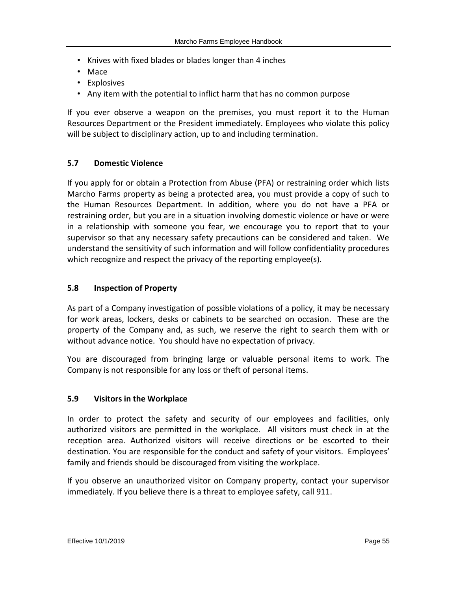- Knives with fixed blades or blades longer than 4 inches
- Mace
- Explosives
- Any item with the potential to inflict harm that has no common purpose

If you ever observe a weapon on the premises, you must report it to the Human Resources Department or the President immediately. Employees who violate this policy will be subject to disciplinary action, up to and including termination.

#### <span id="page-54-0"></span>**5.7 Domestic Violence**

If you apply for or obtain a Protection from Abuse (PFA) or restraining order which lists Marcho Farms property as being a protected area, you must provide a copy of such to the Human Resources Department. In addition, where you do not have a PFA or restraining order, but you are in a situation involving domestic violence or have or were in a relationship with someone you fear, we encourage you to report that to your supervisor so that any necessary safety precautions can be considered and taken. We understand the sensitivity of such information and will follow confidentiality procedures which recognize and respect the privacy of the reporting employee(s).

#### <span id="page-54-1"></span>**5.8 Inspection of Property**

As part of a Company investigation of possible violations of a policy, it may be necessary for work areas, lockers, desks or cabinets to be searched on occasion. These are the property of the Company and, as such, we reserve the right to search them with or without advance notice. You should have no expectation of privacy.

You are discouraged from bringing large or valuable personal items to work. The Company is not responsible for any loss or theft of personal items.

## <span id="page-54-2"></span>**5.9 Visitors in the Workplace**

In order to protect the safety and security of our employees and facilities, only authorized visitors are permitted in the workplace. All visitors must check in at the reception area. Authorized visitors will receive directions or be escorted to their destination. You are responsible for the conduct and safety of your visitors. Employees' family and friends should be discouraged from visiting the workplace.

If you observe an unauthorized visitor on Company property, contact your supervisor immediately. If you believe there is a threat to employee safety, call 911.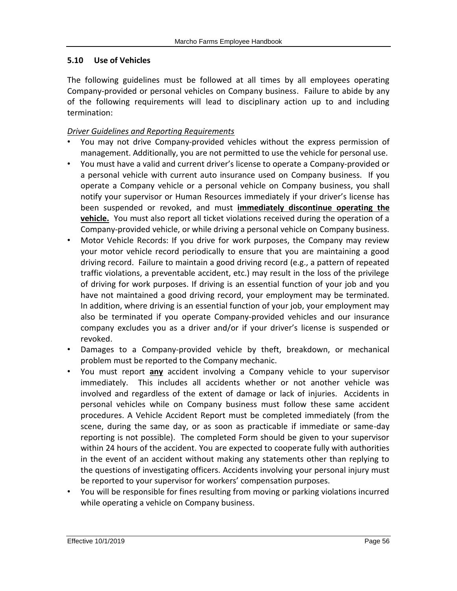## <span id="page-55-0"></span>**5.10 Use of Vehicles**

The following guidelines must be followed at all times by all employees operating Company-provided or personal vehicles on Company business. Failure to abide by any of the following requirements will lead to disciplinary action up to and including termination:

#### *Driver Guidelines and Reporting Requirements*

- You may not drive Company-provided vehicles without the express permission of management. Additionally, you are not permitted to use the vehicle for personal use.
- You must have a valid and current driver's license to operate a Company-provided or a personal vehicle with current auto insurance used on Company business. If you operate a Company vehicle or a personal vehicle on Company business, you shall notify your supervisor or Human Resources immediately if your driver's license has been suspended or revoked, and must **immediately discontinue operating the vehicle.** You must also report all ticket violations received during the operation of a Company-provided vehicle, or while driving a personal vehicle on Company business.
- Motor Vehicle Records: If you drive for work purposes, the Company may review your motor vehicle record periodically to ensure that you are maintaining a good driving record. Failure to maintain a good driving record (e.g., a pattern of repeated traffic violations, a preventable accident, etc.) may result in the loss of the privilege of driving for work purposes. If driving is an essential function of your job and you have not maintained a good driving record, your employment may be terminated. In addition, where driving is an essential function of your job, your employment may also be terminated if you operate Company-provided vehicles and our insurance company excludes you as a driver and/or if your driver's license is suspended or revoked.
- Damages to a Company-provided vehicle by theft, breakdown, or mechanical problem must be reported to the Company mechanic.
- You must report **any** accident involving a Company vehicle to your supervisor immediately. This includes all accidents whether or not another vehicle was involved and regardless of the extent of damage or lack of injuries. Accidents in personal vehicles while on Company business must follow these same accident procedures. A Vehicle Accident Report must be completed immediately (from the scene, during the same day, or as soon as practicable if immediate or same-day reporting is not possible). The completed Form should be given to your supervisor within 24 hours of the accident. You are expected to cooperate fully with authorities in the event of an accident without making any statements other than replying to the questions of investigating officers. Accidents involving your personal injury must be reported to your supervisor for workers' compensation purposes.
- You will be responsible for fines resulting from moving or parking violations incurred while operating a vehicle on Company business.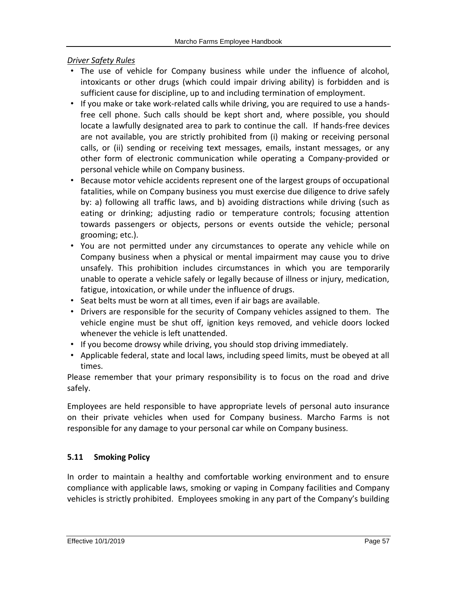*Driver Safety Rules*

- The use of vehicle for Company business while under the influence of alcohol, intoxicants or other drugs (which could impair driving ability) is forbidden and is sufficient cause for discipline, up to and including termination of employment.
- If you make or take work-related calls while driving, you are required to use a handsfree cell phone. Such calls should be kept short and, where possible, you should locate a lawfully designated area to park to continue the call. If hands-free devices are not available, you are strictly prohibited from (i) making or receiving personal calls, or (ii) sending or receiving text messages, emails, instant messages, or any other form of electronic communication while operating a Company-provided or personal vehicle while on Company business.
- Because motor vehicle accidents represent one of the largest groups of occupational fatalities, while on Company business you must exercise due diligence to drive safely by: a) following all traffic laws, and b) avoiding distractions while driving (such as eating or drinking; adjusting radio or temperature controls; focusing attention towards passengers or objects, persons or events outside the vehicle; personal grooming; etc.).
- You are not permitted under any circumstances to operate any vehicle while on Company business when a physical or mental impairment may cause you to drive unsafely. This prohibition includes circumstances in which you are temporarily unable to operate a vehicle safely or legally because of illness or injury, medication, fatigue, intoxication, or while under the influence of drugs.
- Seat belts must be worn at all times, even if air bags are available.
- Drivers are responsible for the security of Company vehicles assigned to them. The vehicle engine must be shut off, ignition keys removed, and vehicle doors locked whenever the vehicle is left unattended.
- If you become drowsy while driving, you should stop driving immediately.
- Applicable federal, state and local laws, including speed limits, must be obeyed at all times.

Please remember that your primary responsibility is to focus on the road and drive safely.

Employees are held responsible to have appropriate levels of personal auto insurance on their private vehicles when used for Company business. Marcho Farms is not responsible for any damage to your personal car while on Company business.

# <span id="page-56-0"></span>**5.11 Smoking Policy**

In order to maintain a healthy and comfortable working environment and to ensure compliance with applicable laws, smoking or vaping in Company facilities and Company vehicles is strictly prohibited. Employees smoking in any part of the Company's building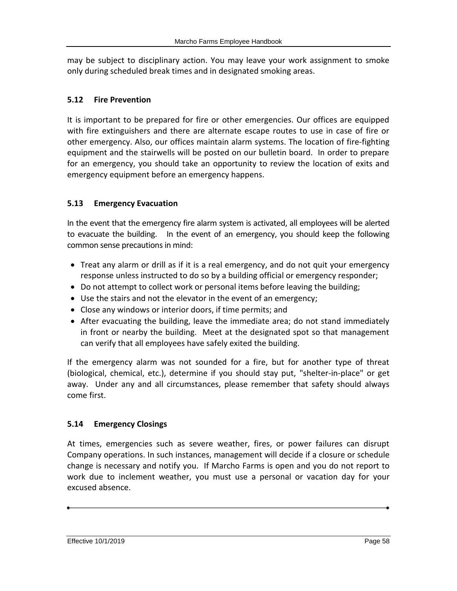may be subject to disciplinary action. You may leave your work assignment to smoke only during scheduled break times and in designated smoking areas.

# <span id="page-57-0"></span>**5.12 Fire Prevention**

It is important to be prepared for fire or other emergencies. Our offices are equipped with fire extinguishers and there are alternate escape routes to use in case of fire or other emergency. Also, our offices maintain alarm systems. The location of fire-fighting equipment and the stairwells will be posted on our bulletin board. In order to prepare for an emergency, you should take an opportunity to review the location of exits and emergency equipment before an emergency happens.

# <span id="page-57-1"></span>**5.13 Emergency Evacuation**

In the event that the emergency fire alarm system is activated, all employees will be alerted to evacuate the building. In the event of an emergency, you should keep the following common sense precautions in mind:

- Treat any alarm or drill as if it is a real emergency, and do not quit your emergency response unless instructed to do so by a building official or emergency responder;
- Do not attempt to collect work or personal items before leaving the building;
- Use the stairs and not the elevator in the event of an emergency;
- Close any windows or interior doors, if time permits; and
- After evacuating the building, leave the immediate area; do not stand immediately in front or nearby the building. Meet at the designated spot so that management can verify that all employees have safely exited the building.

If the emergency alarm was not sounded for a fire, but for another type of threat (biological, chemical, etc.), determine if you should stay put, "shelter-in-place" or get away. Under any and all circumstances, please remember that safety should always come first.

# <span id="page-57-2"></span>**5.14 Emergency Closings**

At times, emergencies such as severe weather, fires, or power failures can disrupt Company operations. In such instances, management will decide if a closure or schedule change is necessary and notify you. If Marcho Farms is open and you do not report to work due to inclement weather, you must use a personal or vacation day for your excused absence.